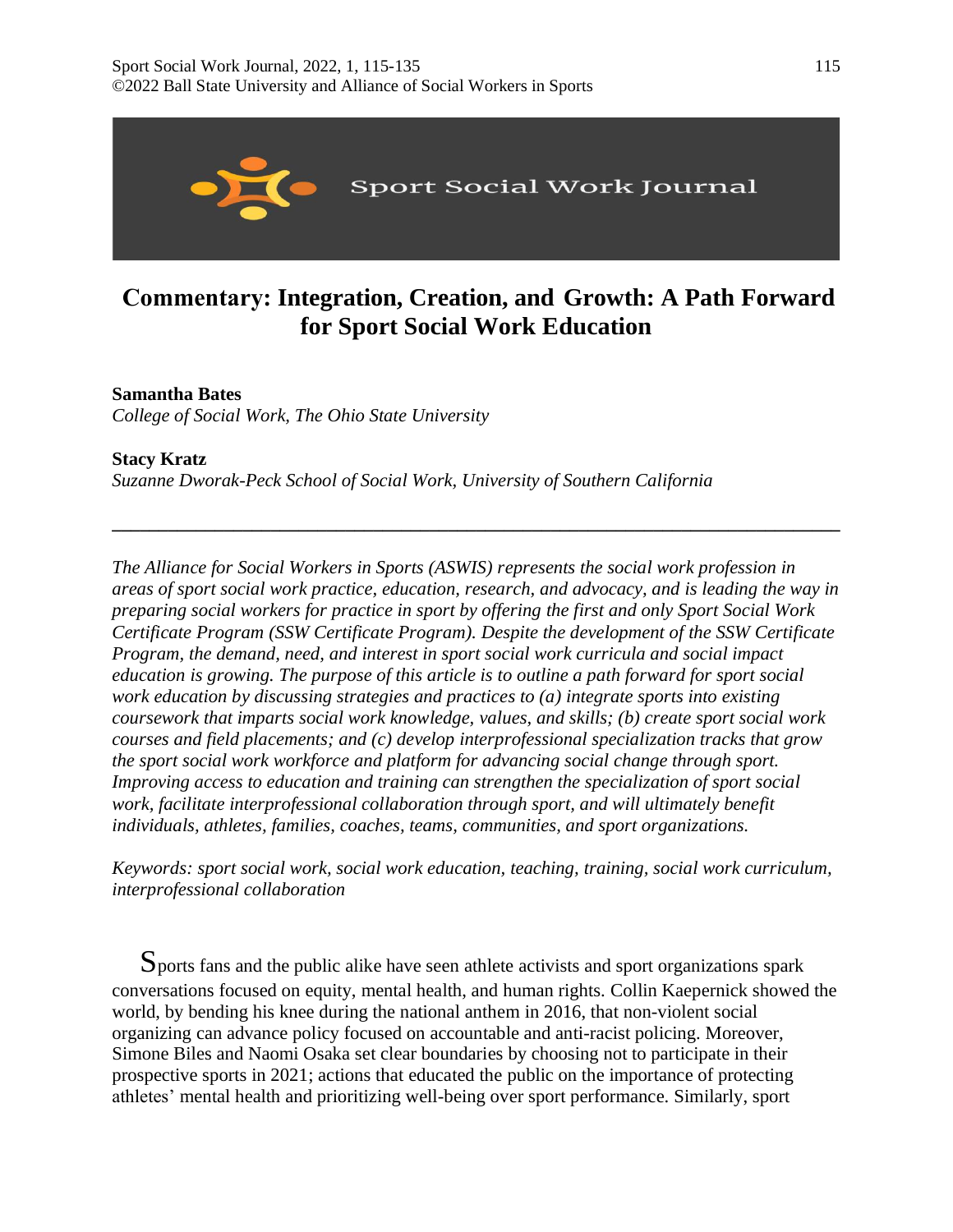

# **Commentary: Integration, Creation, and Growth: A Path Forward for Sport Social Work Education**

# **Samantha Bates**

*College of Social Work, The Ohio State University* 

**Stacy Kratz**  *Suzanne Dworak-Peck School of Social Work, University of Southern California* 

*The Alliance for Social Workers in Sports (ASWIS) represents the social work profession in areas of sport social work practice, education, research, and advocacy, and is leading the way in preparing social workers for practice in sport by offering the first and only Sport Social Work Certificate Program (SSW Certificate Program). Despite the development of the SSW Certificate Program, the demand, need, and interest in sport social work curricula and social impact education is growing. The purpose of this article is to outline a path forward for sport social work education by discussing strategies and practices to (a) integrate sports into existing coursework that imparts social work knowledge, values, and skills; (b) create sport social work courses and field placements; and (c) develop interprofessional specialization tracks that grow the sport social work workforce and platform for advancing social change through sport. Improving access to education and training can strengthen the specialization of sport social work, facilitate interprofessional collaboration through sport, and will ultimately benefit individuals, athletes, families, coaches, teams, communities, and sport organizations.* 

**\_\_\_\_\_\_\_\_\_\_\_\_\_\_\_\_\_\_\_\_\_\_\_\_\_\_\_\_\_\_\_\_\_\_\_\_\_\_\_\_\_\_\_\_\_\_\_\_\_\_\_\_\_\_\_\_\_\_\_\_\_\_\_\_\_\_\_\_\_\_\_\_\_\_\_\_\_\_** 

*Keywords: sport social work, social work education, teaching, training, social work curriculum, interprofessional collaboration* 

Sports fans and the public alike have seen athlete activists and sport organizations spark conversations focused on equity, mental health, and human rights. Collin Kaepernick showed the world, by bending his knee during the national anthem in 2016, that non-violent social organizing can advance policy focused on accountable and anti-racist policing. Moreover, Simone Biles and Naomi Osaka set clear boundaries by choosing not to participate in their prospective sports in 2021; actions that educated the public on the importance of protecting athletes' mental health and prioritizing well-being over sport performance. Similarly, sport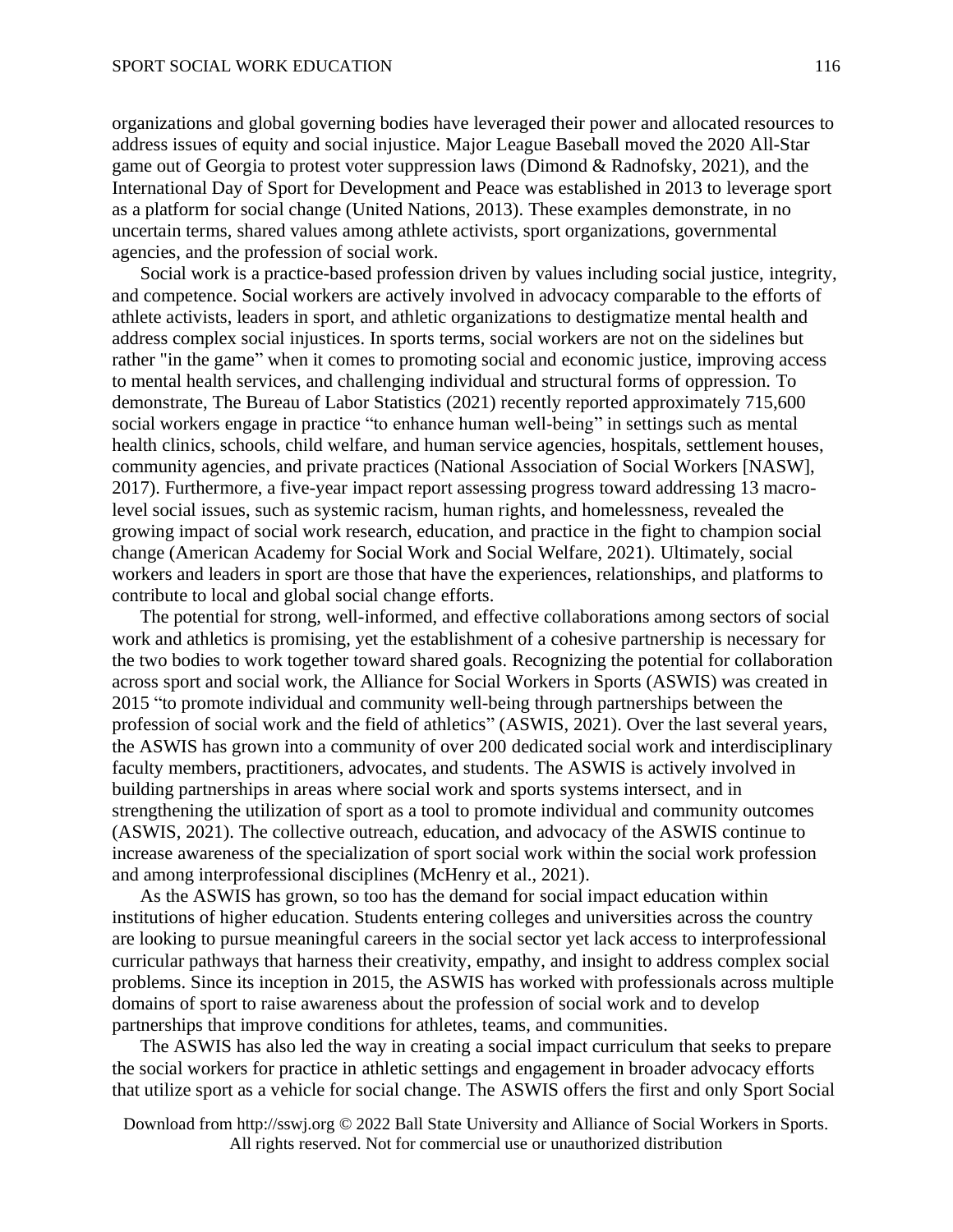organizations and global governing bodies have leveraged their power and allocated resources to address issues of equity and social injustice. Major League Baseball moved the 2020 All-Star game out of Georgia to protest voter suppression laws (Dimond & Radnofsky, 2021), and the International Day of Sport for Development and Peace was established in 2013 to leverage sport as a platform for social change (United Nations, 2013). These examples demonstrate, in no uncertain terms, shared values among athlete activists, sport organizations, governmental agencies, and the profession of social work.

Social work is a practice-based profession driven by values including social justice, integrity, and competence. Social workers are actively involved in advocacy comparable to the efforts of athlete activists, leaders in sport, and athletic organizations to destigmatize mental health and address complex social injustices. In sports terms, social workers are not on the sidelines but rather "in the game" when it comes to promoting social and economic justice, improving access to mental health services, and challenging individual and structural forms of oppression. To demonstrate, The Bureau of Labor Statistics (2021) recently reported approximately 715,600 social workers engage in practice "to enhance human well-being" in settings such as mental health clinics, schools, child welfare, and human service agencies, hospitals, settlement houses, community agencies, and private practices (National Association of Social Workers [NASW], 2017). Furthermore, a five-year impact report assessing progress toward addressing 13 macrolevel social issues, such as systemic racism, human rights, and homelessness, revealed the growing impact of social work research, education, and practice in the fight to champion social change (American Academy for Social Work and Social Welfare, 2021). Ultimately, social workers and leaders in sport are those that have the experiences, relationships, and platforms to contribute to local and global social change efforts.

The potential for strong, well-informed, and effective collaborations among sectors of social work and athletics is promising, yet the establishment of a cohesive partnership is necessary for the two bodies to work together toward shared goals. Recognizing the potential for collaboration across sport and social work, the Alliance for Social Workers in Sports (ASWIS) was created in 2015 "to promote individual and community well-being through partnerships between the profession of social work and the field of athletics" (ASWIS, 2021). Over the last several years, the ASWIS has grown into a community of over 200 dedicated social work and interdisciplinary faculty members, practitioners, advocates, and students. The ASWIS is actively involved in building partnerships in areas where social work and sports systems intersect, and in strengthening the utilization of sport as a tool to promote individual and community outcomes (ASWIS, 2021). The collective outreach, education, and advocacy of the ASWIS continue to increase awareness of the specialization of sport social work within the social work profession and among interprofessional disciplines (McHenry et al., 2021).

As the ASWIS has grown, so too has the demand for social impact education within institutions of higher education. Students entering colleges and universities across the country are looking to pursue meaningful careers in the social sector yet lack access to interprofessional curricular pathways that harness their creativity, empathy, and insight to address complex social problems. Since its inception in 2015, the ASWIS has worked with professionals across multiple domains of sport to raise awareness about the profession of social work and to develop partnerships that improve conditions for athletes, teams, and communities.

The ASWIS has also led the way in creating a social impact curriculum that seeks to prepare the social workers for practice in athletic settings and engagement in broader advocacy efforts that utilize sport as a vehicle for social change. The ASWIS offers the first and only Sport Social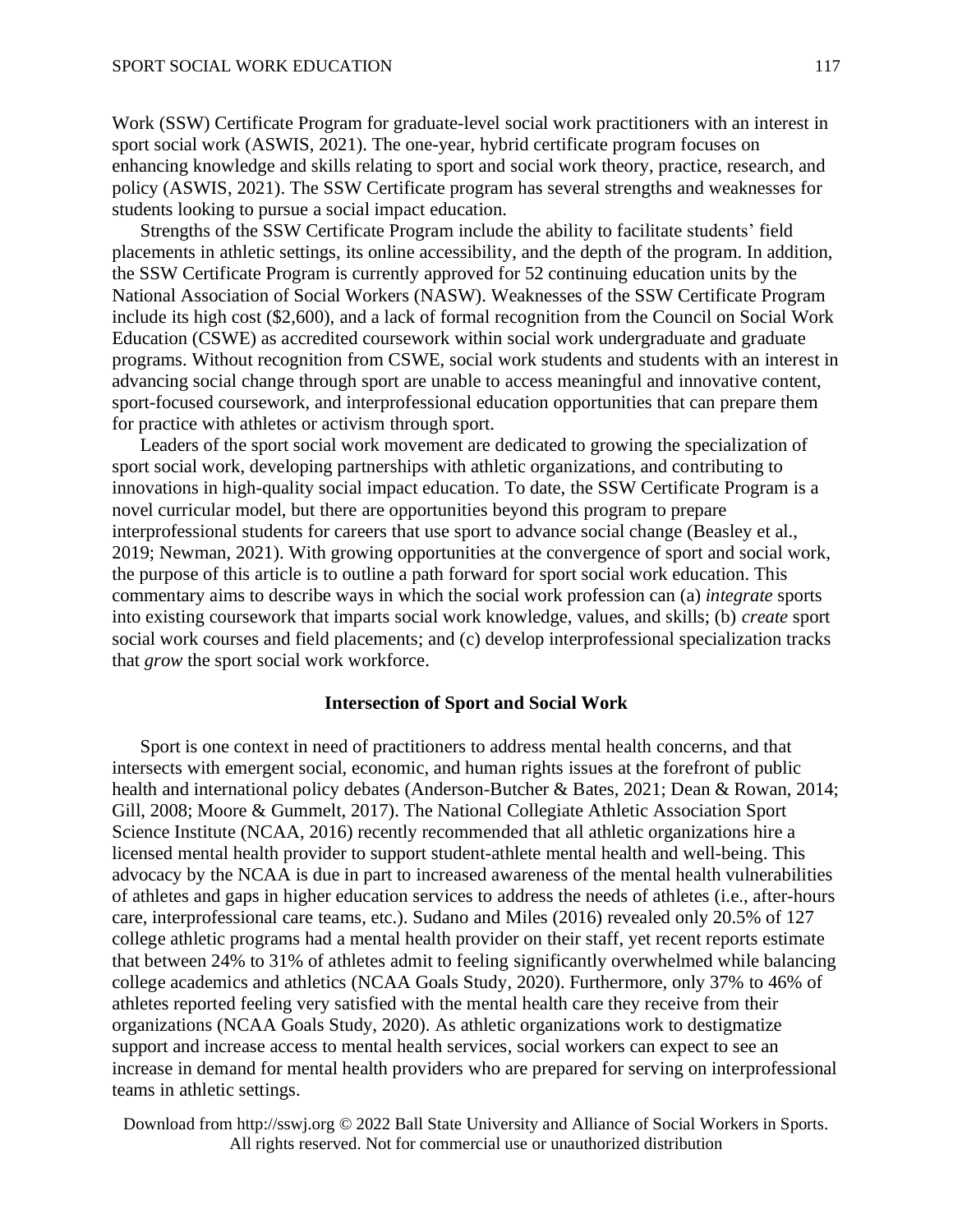Work (SSW) Certificate Program for graduate-level social work practitioners with an interest in sport social work (ASWIS, 2021). The one-year, hybrid certificate program focuses on enhancing knowledge and skills relating to sport and social work theory, practice, research, and policy (ASWIS, 2021). The SSW Certificate program has several strengths and weaknesses for students looking to pursue a social impact education.

Strengths of the SSW Certificate Program include the ability to facilitate students' field placements in athletic settings, its online accessibility, and the depth of the program. In addition, the SSW Certificate Program is currently approved for 52 continuing education units by the National Association of Social Workers (NASW). Weaknesses of the SSW Certificate Program include its high cost (\$2,600), and a lack of formal recognition from the Council on Social Work Education (CSWE) as accredited coursework within social work undergraduate and graduate programs. Without recognition from CSWE, social work students and students with an interest in advancing social change through sport are unable to access meaningful and innovative content, sport-focused coursework, and interprofessional education opportunities that can prepare them for practice with athletes or activism through sport.

Leaders of the sport social work movement are dedicated to growing the specialization of sport social work, developing partnerships with athletic organizations, and contributing to innovations in high-quality social impact education. To date, the SSW Certificate Program is a novel curricular model, but there are opportunities beyond this program to prepare interprofessional students for careers that use sport to advance social change (Beasley et al., 2019; Newman, 2021). With growing opportunities at the convergence of sport and social work, the purpose of this article is to outline a path forward for sport social work education. This commentary aims to describe ways in which the social work profession can (a) *integrate* sports into existing coursework that imparts social work knowledge, values, and skills; (b) *create* sport social work courses and field placements; and (c) develop interprofessional specialization tracks that *grow* the sport social work workforce.

## **Intersection of Sport and Social Work**

Sport is one context in need of practitioners to address mental health concerns, and that intersects with emergent social, economic, and human rights issues at the forefront of public health and international policy debates (Anderson-Butcher & Bates, 2021; Dean & Rowan, 2014; Gill, 2008; Moore & Gummelt, 2017). The National Collegiate Athletic Association Sport Science Institute (NCAA, 2016) recently recommended that all athletic organizations hire a licensed mental health provider to support student-athlete mental health and well-being. This advocacy by the NCAA is due in part to increased awareness of the mental health vulnerabilities of athletes and gaps in higher education services to address the needs of athletes (i.e., after-hours care, interprofessional care teams, etc.). Sudano and Miles (2016) revealed only 20.5% of 127 college athletic programs had a mental health provider on their staff, yet recent reports estimate that between 24% to 31% of athletes admit to feeling significantly overwhelmed while balancing college academics and athletics (NCAA Goals Study, 2020). Furthermore, only 37% to 46% of athletes reported feeling very satisfied with the mental health care they receive from their organizations (NCAA Goals Study, 2020). As athletic organizations work to destigmatize support and increase access to mental health services, social workers can expect to see an increase in demand for mental health providers who are prepared for serving on interprofessional teams in athletic settings.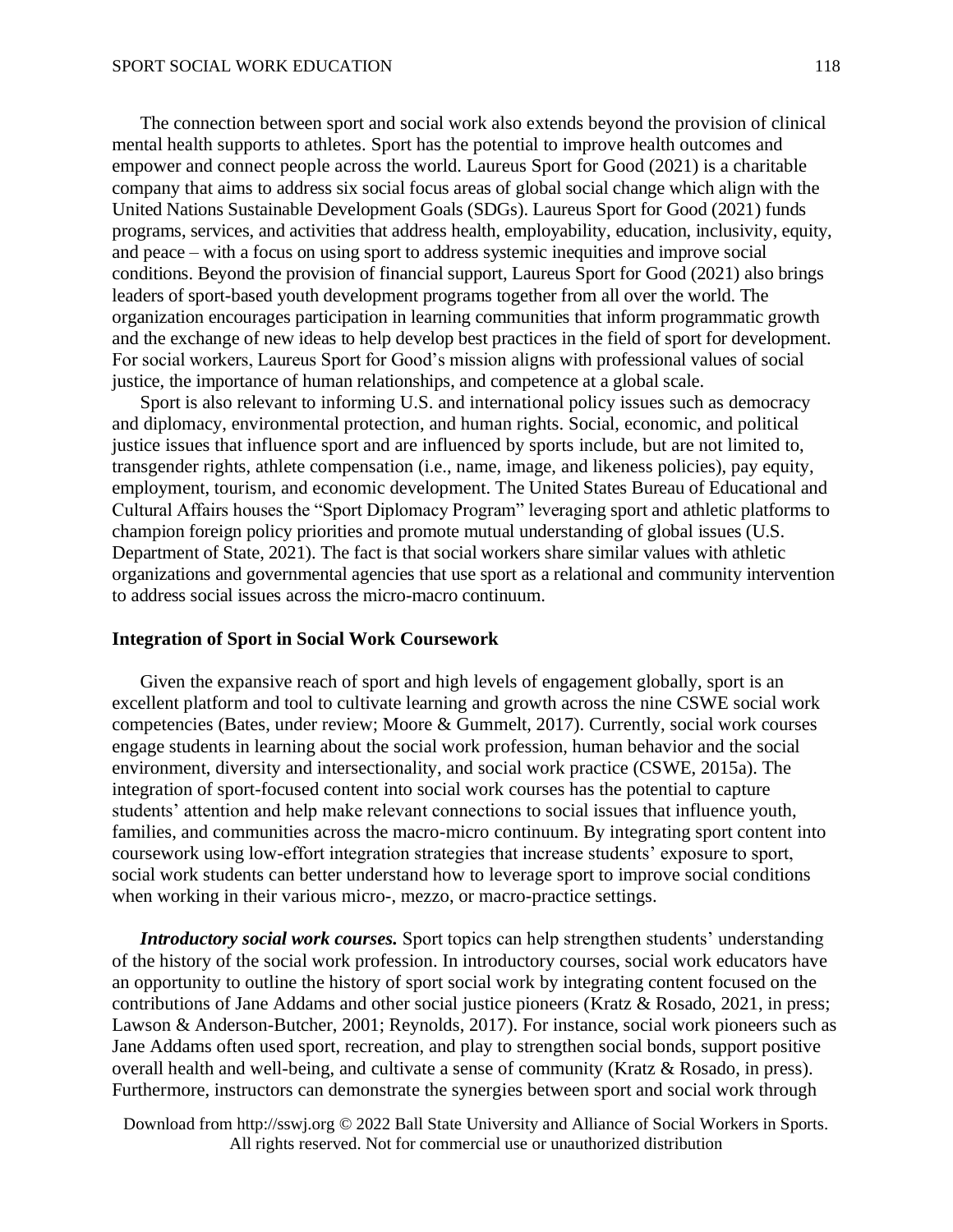The connection between sport and social work also extends beyond the provision of clinical mental health supports to athletes. Sport has the potential to improve health outcomes and empower and connect people across the world. Laureus Sport for Good (2021) is a charitable company that aims to address six social focus areas of global social change which align with the United Nations Sustainable Development Goals (SDGs). Laureus Sport for Good (2021) funds programs, services, and activities that address health, employability, education, inclusivity, equity, and peace – with a focus on using sport to address systemic inequities and improve social conditions. Beyond the provision of financial support, Laureus Sport for Good (2021) also brings leaders of sport-based youth development programs together from all over the world. The organization encourages participation in learning communities that inform programmatic growth and the exchange of new ideas to help develop best practices in the field of sport for development. For social workers, Laureus Sport for Good's mission aligns with professional values of social justice, the importance of human relationships, and competence at a global scale.

Sport is also relevant to informing U.S. and international policy issues such as democracy and diplomacy, environmental protection, and human rights. Social, economic, and political justice issues that influence sport and are influenced by sports include, but are not limited to, transgender rights, athlete compensation (i.e., name, image, and likeness policies), pay equity, employment, tourism, and economic development. The United States Bureau of Educational and Cultural Affairs houses the "Sport Diplomacy Program" leveraging sport and athletic platforms to champion foreign policy priorities and promote mutual understanding of global issues (U.S. Department of State, 2021). The fact is that social workers share similar values with athletic organizations and governmental agencies that use sport as a relational and community intervention to address social issues across the micro-macro continuum.

#### **Integration of Sport in Social Work Coursework**

Given the expansive reach of sport and high levels of engagement globally, sport is an excellent platform and tool to cultivate learning and growth across the nine CSWE social work competencies (Bates, under review; Moore & Gummelt, 2017). Currently, social work courses engage students in learning about the social work profession, human behavior and the social environment, diversity and intersectionality, and social work practice (CSWE, 2015a). The integration of sport-focused content into social work courses has the potential to capture students' attention and help make relevant connections to social issues that influence youth, families, and communities across the macro-micro continuum. By integrating sport content into coursework using low-effort integration strategies that increase students' exposure to sport, social work students can better understand how to leverage sport to improve social conditions when working in their various micro-, mezzo, or macro-practice settings.

*Introductory social work courses.* Sport topics can help strengthen students' understanding of the history of the social work profession. In introductory courses, social work educators have an opportunity to outline the history of sport social work by integrating content focused on the contributions of Jane Addams and other social justice pioneers (Kratz & Rosado, 2021, in press; Lawson & Anderson-Butcher, 2001; Reynolds, 2017). For instance, social work pioneers such as Jane Addams often used sport, recreation, and play to strengthen social bonds, support positive overall health and well-being, and cultivate a sense of community (Kratz & Rosado, in press). Furthermore, instructors can demonstrate the synergies between sport and social work through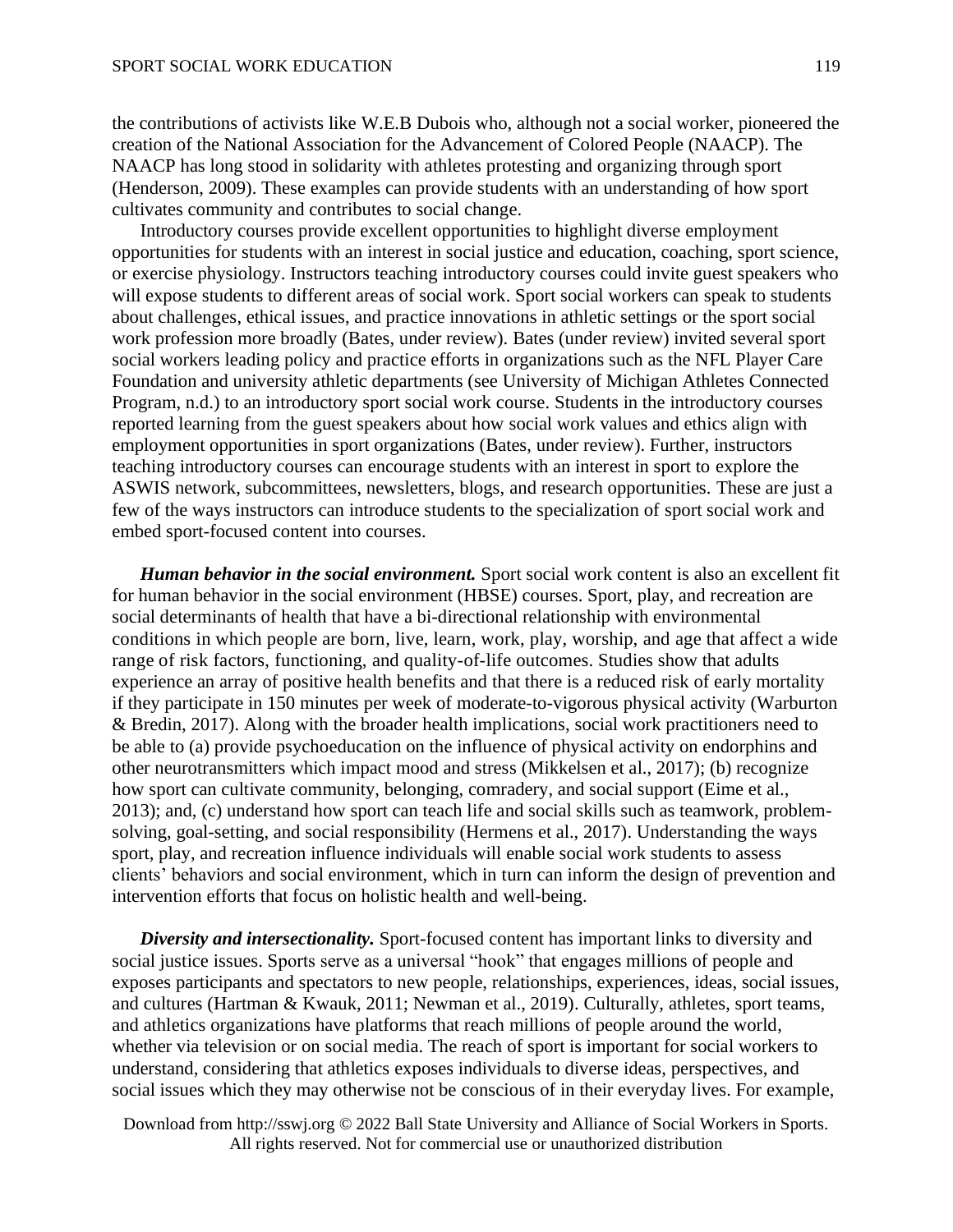the contributions of activists like W.E.B Dubois who, although not a social worker, pioneered the creation of the National Association for the Advancement of Colored People (NAACP). The NAACP has long stood in solidarity with athletes protesting and organizing through sport (Henderson, 2009). These examples can provide students with an understanding of how sport cultivates community and contributes to social change.

Introductory courses provide excellent opportunities to highlight diverse employment opportunities for students with an interest in social justice and education, coaching, sport science, or exercise physiology. Instructors teaching introductory courses could invite guest speakers who will expose students to different areas of social work. Sport social workers can speak to students about challenges, ethical issues, and practice innovations in athletic settings or the sport social work profession more broadly (Bates, under review). Bates (under review) invited several sport social workers leading policy and practice efforts in organizations such as the NFL Player Care Foundation and university athletic departments (see University of Michigan Athletes Connected Program, n.d.) to an introductory sport social work course. Students in the introductory courses reported learning from the guest speakers about how social work values and ethics align with employment opportunities in sport organizations (Bates, under review). Further, instructors teaching introductory courses can encourage students with an interest in sport to explore the ASWIS network, subcommittees, newsletters, blogs, and research opportunities. These are just a few of the ways instructors can introduce students to the specialization of sport social work and embed sport-focused content into courses.

*Human behavior in the social environment.* Sport social work content is also an excellent fit for human behavior in the social environment (HBSE) courses. Sport, play, and recreation are social determinants of health that have a bi-directional relationship with environmental conditions in which people are born, live, learn, work, play, worship, and age that affect a wide range of risk factors, functioning, and quality-of-life outcomes. Studies show that adults experience an array of positive health benefits and that there is a reduced risk of early mortality if they participate in 150 minutes per week of moderate-to-vigorous physical activity (Warburton & Bredin, 2017). Along with the broader health implications, social work practitioners need to be able to (a) provide psychoeducation on the influence of physical activity on endorphins and other neurotransmitters which impact mood and stress (Mikkelsen et al., 2017); (b) recognize how sport can cultivate community, belonging, comradery, and social support (Eime et al., 2013); and, (c) understand how sport can teach life and social skills such as teamwork, problemsolving, goal-setting, and social responsibility (Hermens et al., 2017). Understanding the ways sport, play, and recreation influence individuals will enable social work students to assess clients' behaviors and social environment, which in turn can inform the design of prevention and intervention efforts that focus on holistic health and well-being.

*Diversity and intersectionality.* Sport-focused content has important links to diversity and social justice issues. Sports serve as a universal "hook" that engages millions of people and exposes participants and spectators to new people, relationships, experiences, ideas, social issues, and cultures (Hartman & Kwauk, 2011; Newman et al., 2019). Culturally, athletes, sport teams, and athletics organizations have platforms that reach millions of people around the world, whether via television or on social media. The reach of sport is important for social workers to understand, considering that athletics exposes individuals to diverse ideas, perspectives, and social issues which they may otherwise not be conscious of in their everyday lives. For example,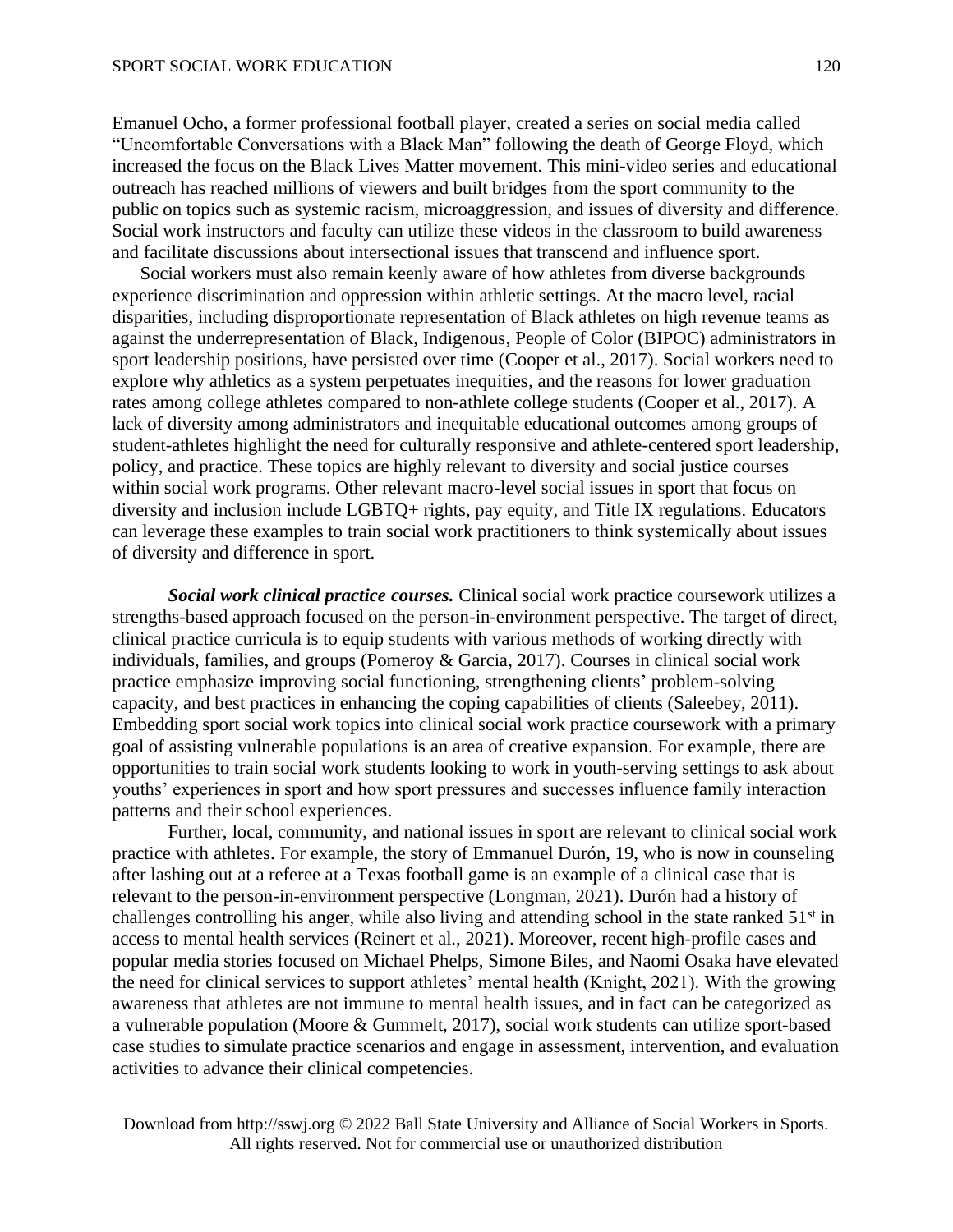#### SPORT SOCIAL WORK EDUCATION

Emanuel Ocho, a former professional football player, created a series on social media called "Uncomfortable Conversations with a Black Man" following the death of George Floyd, which increased the focus on the Black Lives Matter movement. This mini-video series and educational outreach has reached millions of viewers and built bridges from the sport community to the public on topics such as systemic racism, microaggression, and issues of diversity and difference. Social work instructors and faculty can utilize these videos in the classroom to build awareness and facilitate discussions about intersectional issues that transcend and influence sport.

Social workers must also remain keenly aware of how athletes from diverse backgrounds experience discrimination and oppression within athletic settings. At the macro level, racial disparities, including disproportionate representation of Black athletes on high revenue teams as against the underrepresentation of Black, Indigenous, People of Color (BIPOC) administrators in sport leadership positions, have persisted over time (Cooper et al., 2017). Social workers need to explore why athletics as a system perpetuates inequities, and the reasons for lower graduation rates among college athletes compared to non-athlete college students (Cooper et al., 2017). A lack of diversity among administrators and inequitable educational outcomes among groups of student-athletes highlight the need for culturally responsive and athlete-centered sport leadership, policy, and practice. These topics are highly relevant to diversity and social justice courses within social work programs. Other relevant macro-level social issues in sport that focus on diversity and inclusion include LGBTQ+ rights, pay equity, and Title IX regulations. Educators can leverage these examples to train social work practitioners to think systemically about issues of diversity and difference in sport.

*Social work clinical practice courses.* Clinical social work practice coursework utilizes a strengths-based approach focused on the person-in-environment perspective. The target of direct, clinical practice curricula is to equip students with various methods of working directly with individuals, families, and groups (Pomeroy & Garcia, 2017). Courses in clinical social work practice emphasize improving social functioning, strengthening clients' problem-solving capacity, and best practices in enhancing the coping capabilities of clients (Saleebey, 2011). Embedding sport social work topics into clinical social work practice coursework with a primary goal of assisting vulnerable populations is an area of creative expansion. For example, there are opportunities to train social work students looking to work in youth-serving settings to ask about youths' experiences in sport and how sport pressures and successes influence family interaction patterns and their school experiences.

Further, local, community, and national issues in sport are relevant to clinical social work practice with athletes. For example, the story of Emmanuel Durón, 19, who is now in counseling after lashing out at a referee at a Texas football game is an example of a clinical case that is relevant to the person-in-environment perspective (Longman, 2021). Durón had a history of challenges controlling his anger, while also living and attending school in the state ranked 51<sup>st</sup> in access to mental health services (Reinert et al., 2021). Moreover, recent high-profile cases and popular media stories focused on Michael Phelps, Simone Biles, and Naomi Osaka have elevated the need for clinical services to support athletes' mental health (Knight, 2021). With the growing awareness that athletes are not immune to mental health issues, and in fact can be categorized as a vulnerable population (Moore & Gummelt, 2017), social work students can utilize sport-based case studies to simulate practice scenarios and engage in assessment, intervention, and evaluation activities to advance their clinical competencies.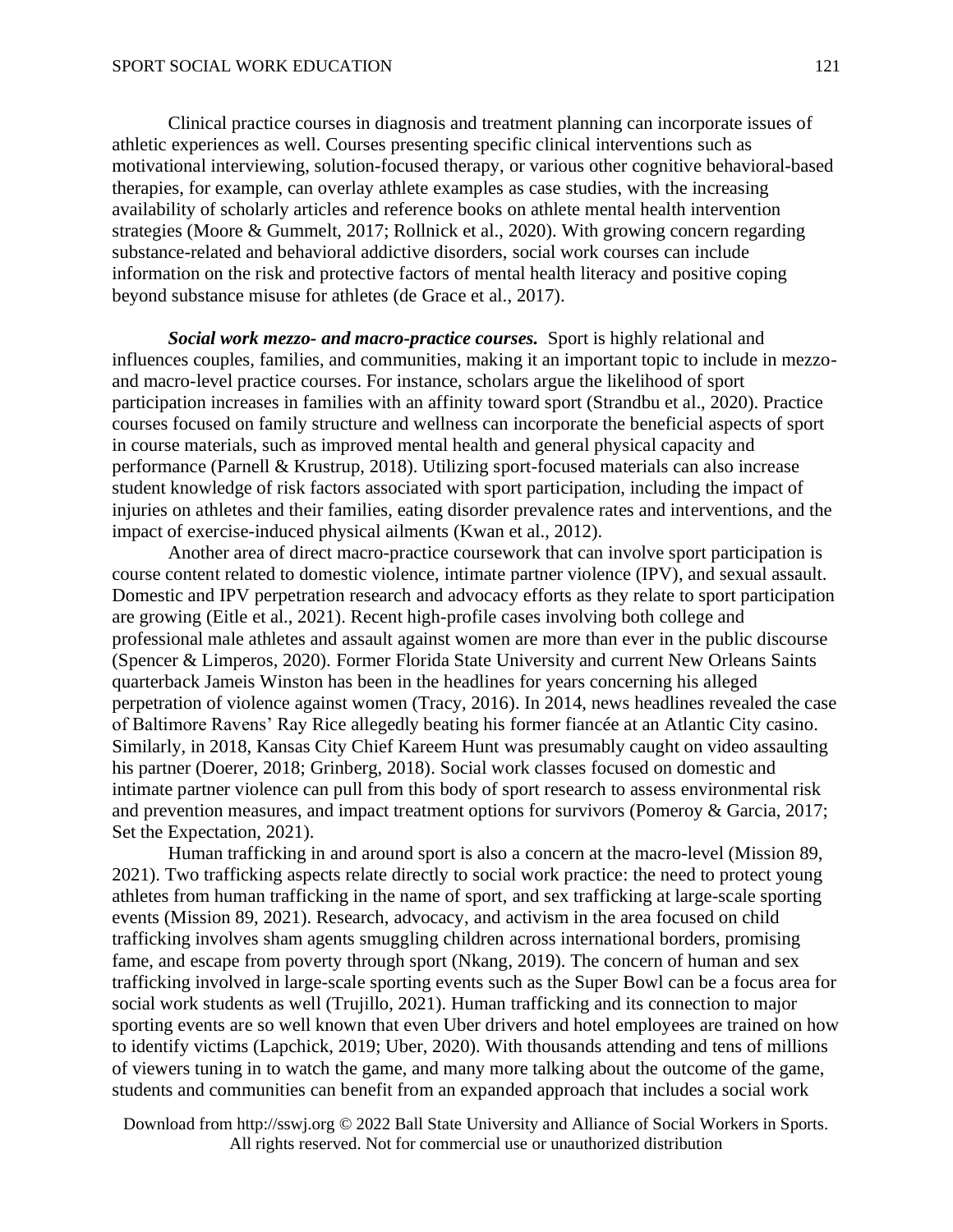Clinical practice courses in diagnosis and treatment planning can incorporate issues of athletic experiences as well. Courses presenting specific clinical interventions such as motivational interviewing, solution-focused therapy, or various other cognitive behavioral-based therapies, for example, can overlay athlete examples as case studies, with the increasing availability of scholarly articles and reference books on athlete mental health intervention strategies (Moore & Gummelt, 2017; Rollnick et al., 2020). With growing concern regarding substance-related and behavioral addictive disorders, social work courses can include information on the risk and protective factors of mental health literacy and positive coping beyond substance misuse for athletes (de Grace et al., 2017).

*Social work mezzo- and macro-practice courses.* Sport is highly relational and influences couples, families, and communities, making it an important topic to include in mezzoand macro-level practice courses. For instance, scholars argue the likelihood of sport participation increases in families with an affinity toward sport (Strandbu et al., 2020). Practice courses focused on family structure and wellness can incorporate the beneficial aspects of sport in course materials, such as improved mental health and general physical capacity and performance (Parnell & Krustrup, 2018). Utilizing sport-focused materials can also increase student knowledge of risk factors associated with sport participation, including the impact of injuries on athletes and their families, eating disorder prevalence rates and interventions, and the impact of exercise-induced physical ailments (Kwan et al., 2012).

Another area of direct macro-practice coursework that can involve sport participation is course content related to domestic violence, intimate partner violence (IPV), and sexual assault. Domestic and IPV perpetration research and advocacy efforts as they relate to sport participation are growing (Eitle et al., 2021). Recent high-profile cases involving both college and professional male athletes and assault against women are more than ever in the public discourse (Spencer & Limperos, 2020). Former Florida State University and current New Orleans Saints quarterback Jameis Winston has been in the headlines for years concerning his alleged perpetration of violence against women (Tracy, 2016). In 2014, news headlines revealed the case of Baltimore Ravens' Ray Rice allegedly beating his former fiancée at an Atlantic City casino. Similarly, in 2018, Kansas City Chief Kareem Hunt was presumably caught on video assaulting his partner (Doerer, 2018; Grinberg, 2018). Social work classes focused on domestic and intimate partner violence can pull from this body of sport research to assess environmental risk and prevention measures, and impact treatment options for survivors (Pomeroy & Garcia, 2017; Set the Expectation, 2021).

Human trafficking in and around sport is also a concern at the macro-level (Mission 89, 2021). Two trafficking aspects relate directly to social work practice: the need to protect young athletes from human trafficking in the name of sport, and sex trafficking at large-scale sporting events (Mission 89, 2021). Research, advocacy, and activism in the area focused on child trafficking involves sham agents smuggling children across international borders, promising fame, and escape from poverty through sport (Nkang, 2019). The concern of human and sex trafficking involved in large-scale sporting events such as the Super Bowl can be a focus area for social work students as well (Trujillo, 2021). Human trafficking and its connection to major sporting events are so well known that even Uber drivers and hotel employees are trained on how to identify victims (Lapchick, 2019; Uber, 2020). With thousands attending and tens of millions of viewers tuning in to watch the game, and many more talking about the outcome of the game, students and communities can benefit from an expanded approach that includes a social work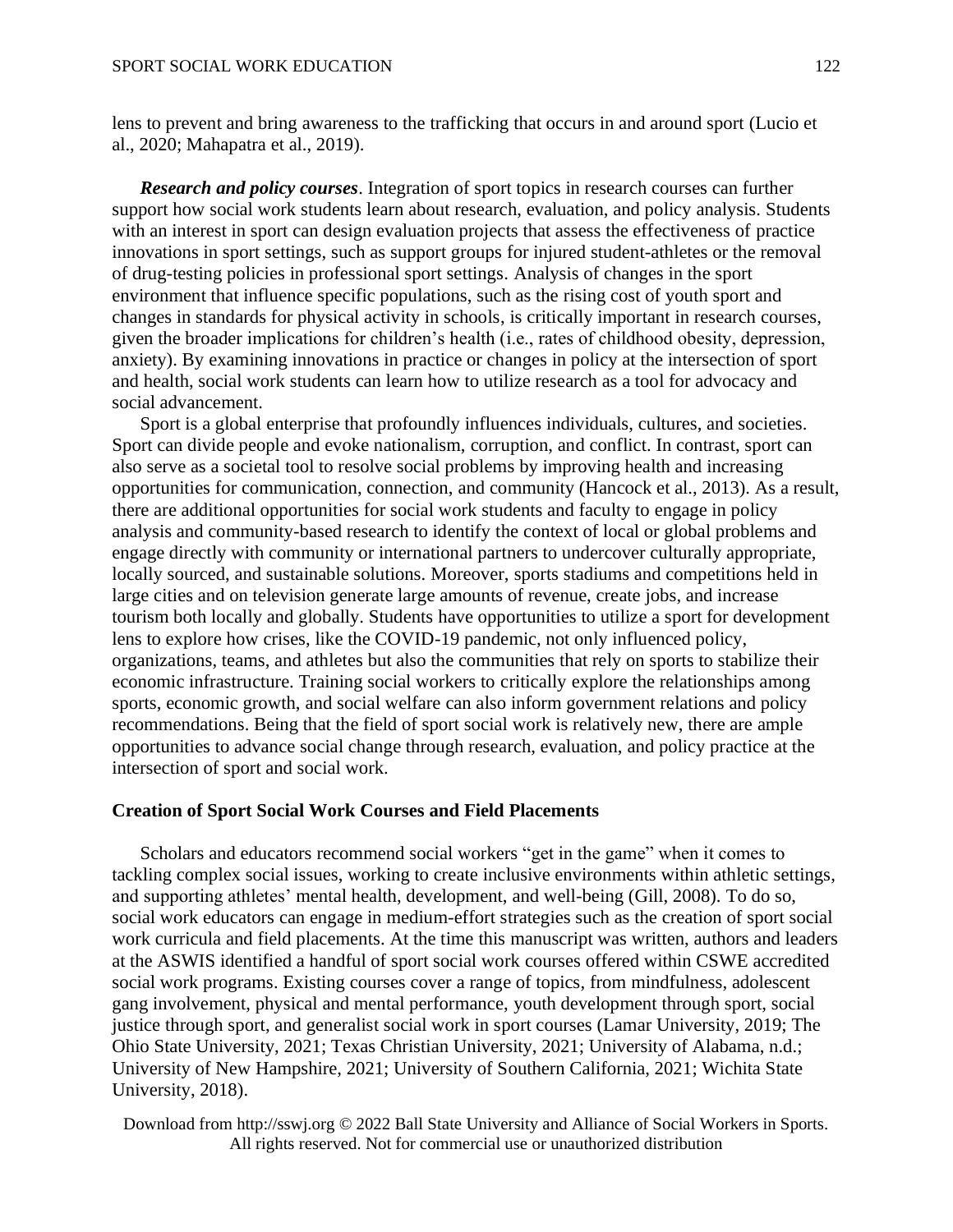lens to prevent and bring awareness to the trafficking that occurs in and around sport (Lucio et al., 2020; Mahapatra et al., 2019).

*Research and policy courses*. Integration of sport topics in research courses can further support how social work students learn about research, evaluation, and policy analysis. Students with an interest in sport can design evaluation projects that assess the effectiveness of practice innovations in sport settings, such as support groups for injured student-athletes or the removal of drug-testing policies in professional sport settings. Analysis of changes in the sport environment that influence specific populations, such as the rising cost of youth sport and changes in standards for physical activity in schools, is critically important in research courses, given the broader implications for children's health (i.e., rates of childhood obesity, depression, anxiety). By examining innovations in practice or changes in policy at the intersection of sport and health, social work students can learn how to utilize research as a tool for advocacy and social advancement.

Sport is a global enterprise that profoundly influences individuals, cultures, and societies. Sport can divide people and evoke nationalism, corruption, and conflict. In contrast, sport can also serve as a societal tool to resolve social problems by improving health and increasing opportunities for communication, connection, and community (Hancock et al., 2013). As a result, there are additional opportunities for social work students and faculty to engage in policy analysis and community-based research to identify the context of local or global problems and engage directly with community or international partners to undercover culturally appropriate, locally sourced, and sustainable solutions. Moreover, sports stadiums and competitions held in large cities and on television generate large amounts of revenue, create jobs, and increase tourism both locally and globally. Students have opportunities to utilize a sport for development lens to explore how crises, like the COVID-19 pandemic, not only influenced policy, organizations, teams, and athletes but also the communities that rely on sports to stabilize their economic infrastructure. Training social workers to critically explore the relationships among sports, economic growth, and social welfare can also inform government relations and policy recommendations. Being that the field of sport social work is relatively new, there are ample opportunities to advance social change through research, evaluation, and policy practice at the intersection of sport and social work.

## **Creation of Sport Social Work Courses and Field Placements**

Scholars and educators recommend social workers "get in the game" when it comes to tackling complex social issues, working to create inclusive environments within athletic settings, and supporting athletes' mental health, development, and well-being (Gill, 2008). To do so, social work educators can engage in medium-effort strategies such as the creation of sport social work curricula and field placements. At the time this manuscript was written, authors and leaders at the ASWIS identified a handful of sport social work courses offered within CSWE accredited social work programs. Existing courses cover a range of topics, from mindfulness, adolescent gang involvement, physical and mental performance, youth development through sport, social justice through sport, and generalist social work in sport courses (Lamar University, 2019; The Ohio State University, 2021; Texas Christian University, 2021; University of Alabama, n.d.; University of New Hampshire, 2021; University of Southern California, 2021; Wichita State University, 2018).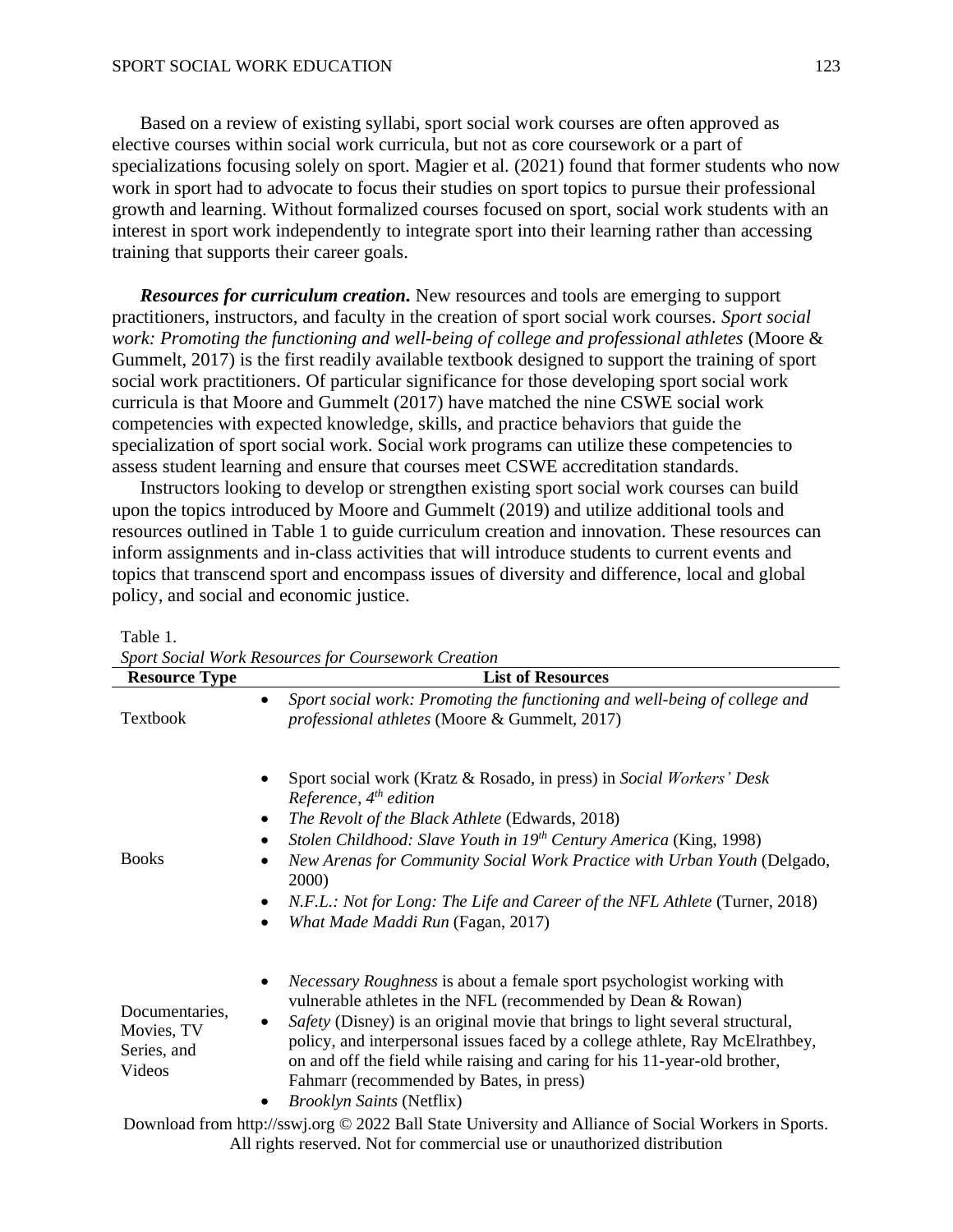Based on a review of existing syllabi, sport social work courses are often approved as elective courses within social work curricula, but not as core coursework or a part of specializations focusing solely on sport. Magier et al. (2021) found that former students who now work in sport had to advocate to focus their studies on sport topics to pursue their professional growth and learning. Without formalized courses focused on sport, social work students with an interest in sport work independently to integrate sport into their learning rather than accessing training that supports their career goals.

*Resources for curriculum creation.* New resources and tools are emerging to support practitioners, instructors, and faculty in the creation of sport social work courses. *Sport social work: Promoting the functioning and well-being of college and professional athletes* (Moore & Gummelt, 2017) is the first readily available textbook designed to support the training of sport social work practitioners. Of particular significance for those developing sport social work curricula is that Moore and Gummelt (2017) have matched the nine CSWE social work competencies with expected knowledge, skills, and practice behaviors that guide the specialization of sport social work. Social work programs can utilize these competencies to assess student learning and ensure that courses meet CSWE accreditation standards.

Instructors looking to develop or strengthen existing sport social work courses can build upon the topics introduced by Moore and Gummelt (2019) and utilize additional tools and resources outlined in Table 1 to guide curriculum creation and innovation. These resources can inform assignments and in-class activities that will introduce students to current events and topics that transcend sport and encompass issues of diversity and difference, local and global policy, and social and economic justice.

| Table |  |
|-------|--|
|       |  |

*Sport Social Work Resources for Coursework Creation*

| <b>Resource Type</b>                                  | sport social work Resources for Coursework Creation<br><b>List of Resources</b>                                                                                                                                                                                                                                                                                                                                                                                                                        |  |
|-------------------------------------------------------|--------------------------------------------------------------------------------------------------------------------------------------------------------------------------------------------------------------------------------------------------------------------------------------------------------------------------------------------------------------------------------------------------------------------------------------------------------------------------------------------------------|--|
| Textbook                                              | Sport social work: Promoting the functioning and well-being of college and<br>$\bullet$<br><i>professional athletes</i> (Moore & Gummelt, 2017)                                                                                                                                                                                                                                                                                                                                                        |  |
| <b>Books</b>                                          | Sport social work (Kratz & Rosado, in press) in Social Workers' Desk<br>Reference, $4^{th}$ edition<br>The Revolt of the Black Athlete (Edwards, 2018)<br>Stolen Childhood: Slave Youth in 19th Century America (King, 1998)<br>$\bullet$<br>New Arenas for Community Social Work Practice with Urban Youth (Delgado,<br>٠<br>2000)<br>N.F.L.: Not for Long: The Life and Career of the NFL Athlete (Turner, 2018)<br>What Made Maddi Run (Fagan, 2017)<br>٠                                           |  |
| Documentaries,<br>Movies, TV<br>Series, and<br>Videos | <i>Necessary Roughness</i> is about a female sport psychologist working with<br>$\bullet$<br>vulnerable athletes in the NFL (recommended by Dean & Rowan)<br>Safety (Disney) is an original movie that brings to light several structural,<br>policy, and interpersonal issues faced by a college athlete, Ray McElrathbey,<br>on and off the field while raising and caring for his 11-year-old brother,<br>Fahmarr (recommended by Bates, in press)<br><b>Brooklyn Saints (Netflix)</b><br>$\bullet$ |  |
|                                                       | Download from http://sswj.org © 2022 Ball State University and Alliance of Social Workers in Sports.                                                                                                                                                                                                                                                                                                                                                                                                   |  |

All rights reserved. Not for commercial use or unauthorized distribution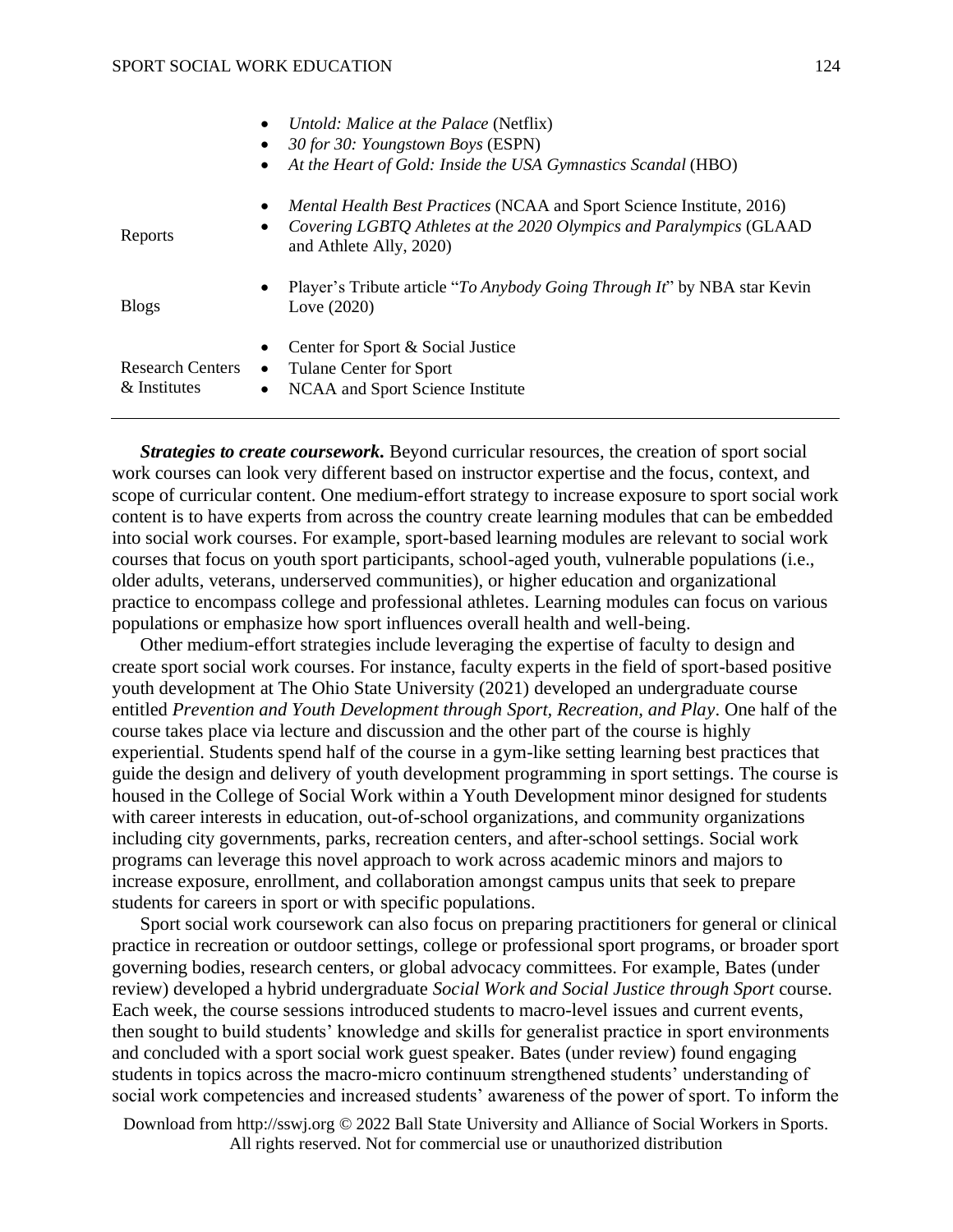|                                         | Untold: Malice at the Palace (Netflix)<br>$\bullet$                                                                                                                                                      |  |
|-----------------------------------------|----------------------------------------------------------------------------------------------------------------------------------------------------------------------------------------------------------|--|
|                                         | 30 for 30: Youngstown Boys (ESPN)<br>$\bullet$                                                                                                                                                           |  |
|                                         | At the Heart of Gold: Inside the USA Gymnastics Scandal (HBO)<br>$\bullet$                                                                                                                               |  |
| Reports                                 | <i>Mental Health Best Practices</i> (NCAA and Sport Science Institute, 2016)<br>$\bullet$<br>Covering LGBTQ Athletes at the 2020 Olympics and Paralympics (GLAAD<br>$\bullet$<br>and Athlete Ally, 2020) |  |
| <b>Blogs</b>                            | Player's Tribute article "To Anybody Going Through It" by NBA star Kevin<br>$\bullet$<br>Love (2020)                                                                                                     |  |
| <b>Research Centers</b><br>& Institutes | Center for Sport & Social Justice<br>$\bullet$<br>Tulane Center for Sport<br>$\bullet$<br>NCAA and Sport Science Institute<br>$\bullet$                                                                  |  |

*Strategies to create coursework.* Beyond curricular resources, the creation of sport social work courses can look very different based on instructor expertise and the focus, context, and scope of curricular content. One medium-effort strategy to increase exposure to sport social work content is to have experts from across the country create learning modules that can be embedded into social work courses. For example, sport-based learning modules are relevant to social work courses that focus on youth sport participants, school-aged youth, vulnerable populations (i.e., older adults, veterans, underserved communities), or higher education and organizational practice to encompass college and professional athletes. Learning modules can focus on various populations or emphasize how sport influences overall health and well-being.

Other medium-effort strategies include leveraging the expertise of faculty to design and create sport social work courses. For instance, faculty experts in the field of sport-based positive youth development at The Ohio State University (2021) developed an undergraduate course entitled *Prevention and Youth Development through Sport, Recreation, and Play*. One half of the course takes place via lecture and discussion and the other part of the course is highly experiential. Students spend half of the course in a gym-like setting learning best practices that guide the design and delivery of youth development programming in sport settings. The course is housed in the College of Social Work within a Youth Development minor designed for students with career interests in education, out-of-school organizations, and community organizations including city governments, parks, recreation centers, and after-school settings. Social work programs can leverage this novel approach to work across academic minors and majors to increase exposure, enrollment, and collaboration amongst campus units that seek to prepare students for careers in sport or with specific populations.

Sport social work coursework can also focus on preparing practitioners for general or clinical practice in recreation or outdoor settings, college or professional sport programs, or broader sport governing bodies, research centers, or global advocacy committees. For example, Bates (under review) developed a hybrid undergraduate *Social Work and Social Justice through Sport* course. Each week, the course sessions introduced students to macro-level issues and current events, then sought to build students' knowledge and skills for generalist practice in sport environments and concluded with a sport social work guest speaker. Bates (under review) found engaging students in topics across the macro-micro continuum strengthened students' understanding of social work competencies and increased students' awareness of the power of sport. To inform the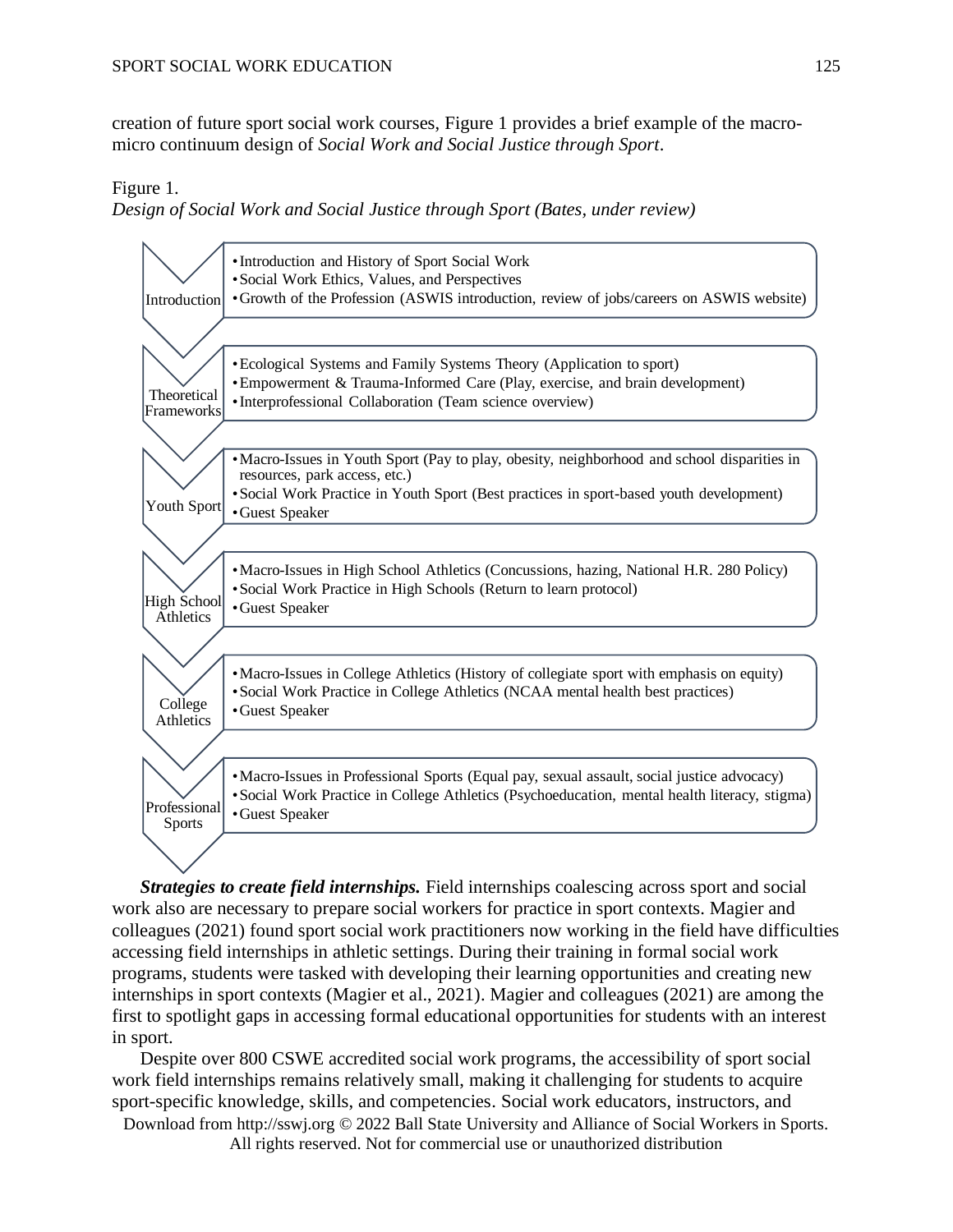creation of future sport social work courses, Figure 1 provides a brief example of the macromicro continuum design of *Social Work and Social Justice through Sport*.

Figure 1.

*Design of Social Work and Social Justice through Sport (Bates, under review)*



*Strategies to create field internships.* Field internships coalescing across sport and social work also are necessary to prepare social workers for practice in sport contexts. Magier and colleagues (2021) found sport social work practitioners now working in the field have difficulties accessing field internships in athletic settings. During their training in formal social work programs, students were tasked with developing their learning opportunities and creating new internships in sport contexts (Magier et al., 2021). Magier and colleagues (2021) are among the first to spotlight gaps in accessing formal educational opportunities for students with an interest in sport.

Despite over 800 CSWE accredited social work programs, the accessibility of sport social work field internships remains relatively small, making it challenging for students to acquire sport-specific knowledge, skills, and competencies. Social work educators, instructors, and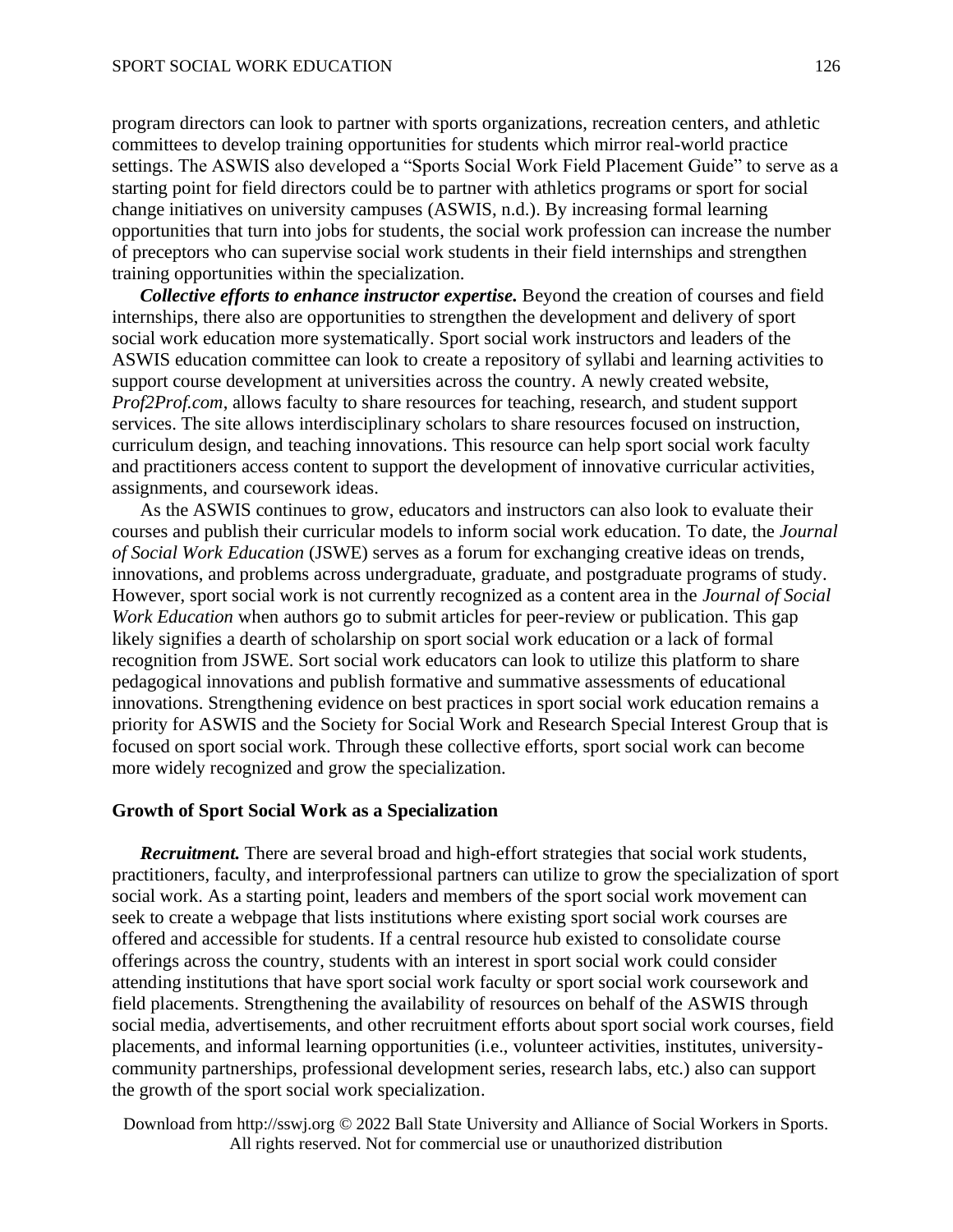program directors can look to partner with sports organizations, recreation centers, and athletic committees to develop training opportunities for students which mirror real-world practice settings. The ASWIS also developed a "Sports Social Work Field Placement Guide" to serve as a starting point for field directors could be to partner with athletics programs or sport for social change initiatives on university campuses (ASWIS, n.d.). By increasing formal learning opportunities that turn into jobs for students, the social work profession can increase the number of preceptors who can supervise social work students in their field internships and strengthen training opportunities within the specialization.

*Collective efforts to enhance instructor expertise.* Beyond the creation of courses and field internships, there also are opportunities to strengthen the development and delivery of sport social work education more systematically. Sport social work instructors and leaders of the ASWIS education committee can look to create a repository of syllabi and learning activities to support course development at universities across the country. A newly created website, *Prof2Prof.com*, allows faculty to share resources for teaching, research, and student support services. The site allows interdisciplinary scholars to share resources focused on instruction, curriculum design, and teaching innovations. This resource can help sport social work faculty and practitioners access content to support the development of innovative curricular activities, assignments, and coursework ideas.

As the ASWIS continues to grow, educators and instructors can also look to evaluate their courses and publish their curricular models to inform social work education. To date, the *Journal of Social Work Education* (JSWE) serves as a forum for exchanging creative ideas on trends, innovations, and problems across undergraduate, graduate, and postgraduate programs of study. However, sport social work is not currently recognized as a content area in the *Journal of Social Work Education* when authors go to submit articles for peer-review or publication. This gap likely signifies a dearth of scholarship on sport social work education or a lack of formal recognition from JSWE. Sort social work educators can look to utilize this platform to share pedagogical innovations and publish formative and summative assessments of educational innovations. Strengthening evidence on best practices in sport social work education remains a priority for ASWIS and the Society for Social Work and Research Special Interest Group that is focused on sport social work. Through these collective efforts, sport social work can become more widely recognized and grow the specialization.

#### **Growth of Sport Social Work as a Specialization**

*Recruitment.* There are several broad and high-effort strategies that social work students, practitioners, faculty, and interprofessional partners can utilize to grow the specialization of sport social work. As a starting point, leaders and members of the sport social work movement can seek to create a webpage that lists institutions where existing sport social work courses are offered and accessible for students. If a central resource hub existed to consolidate course offerings across the country, students with an interest in sport social work could consider attending institutions that have sport social work faculty or sport social work coursework and field placements. Strengthening the availability of resources on behalf of the ASWIS through social media, advertisements, and other recruitment efforts about sport social work courses, field placements, and informal learning opportunities (i.e., volunteer activities, institutes, universitycommunity partnerships, professional development series, research labs, etc.) also can support the growth of the sport social work specialization.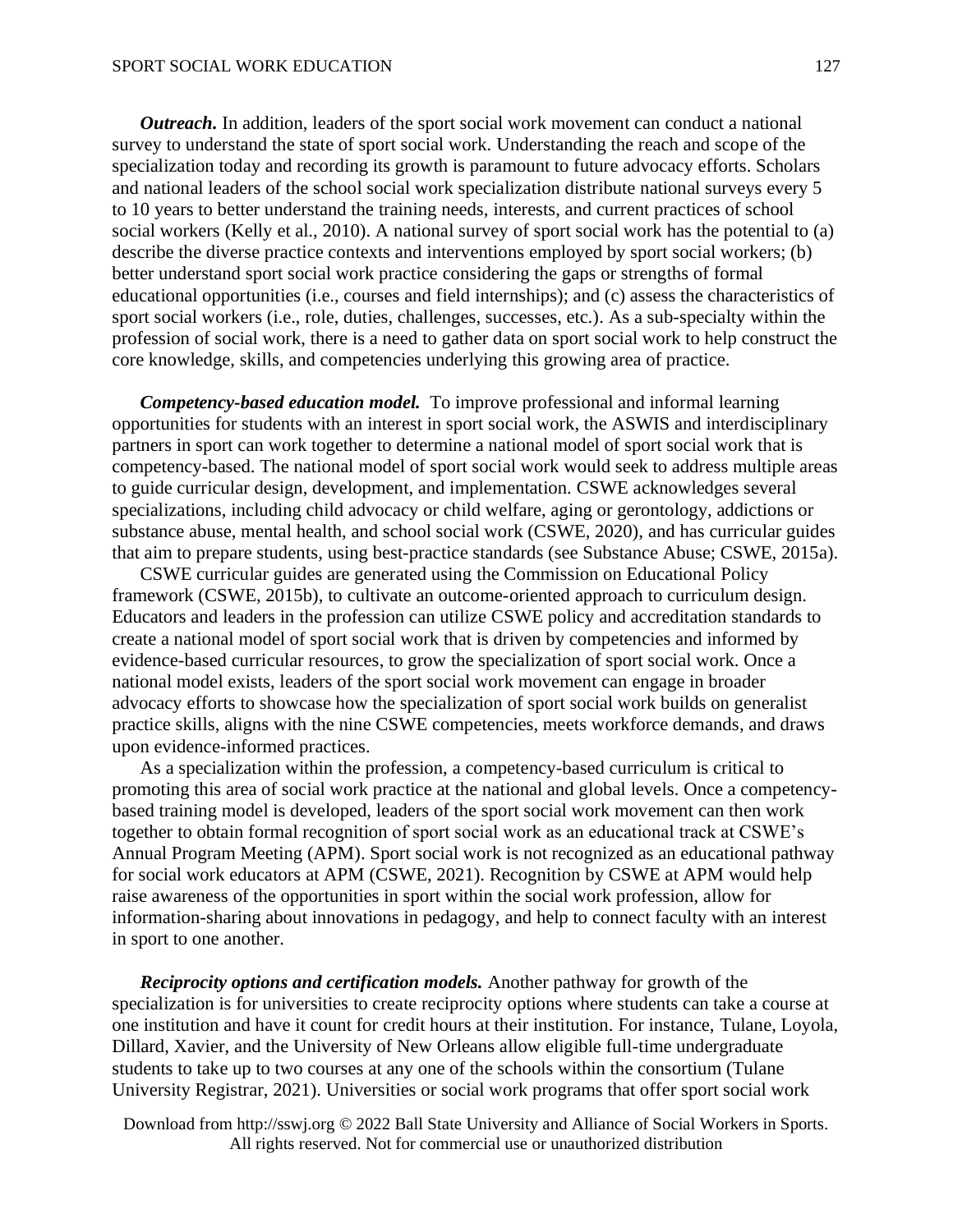#### SPORT SOCIAL WORK EDUCATION

*Outreach.* In addition, leaders of the sport social work movement can conduct a national survey to understand the state of sport social work. Understanding the reach and scope of the specialization today and recording its growth is paramount to future advocacy efforts. Scholars and national leaders of the school social work specialization distribute national surveys every 5 to 10 years to better understand the training needs, interests, and current practices of school social workers (Kelly et al., 2010). A national survey of sport social work has the potential to (a) describe the diverse practice contexts and interventions employed by sport social workers; (b) better understand sport social work practice considering the gaps or strengths of formal educational opportunities (i.e., courses and field internships); and (c) assess the characteristics of sport social workers (i.e., role, duties, challenges, successes, etc.). As a sub-specialty within the profession of social work, there is a need to gather data on sport social work to help construct the core knowledge, skills, and competencies underlying this growing area of practice.

*Competency-based education model.* To improve professional and informal learning opportunities for students with an interest in sport social work, the ASWIS and interdisciplinary partners in sport can work together to determine a national model of sport social work that is competency-based. The national model of sport social work would seek to address multiple areas to guide curricular design, development, and implementation. CSWE acknowledges several specializations, including child advocacy or child welfare, aging or gerontology, addictions or substance abuse, mental health, and school social work (CSWE, 2020), and has curricular guides that aim to prepare students, using best-practice standards (see Substance Abuse; CSWE, 2015a).

CSWE curricular guides are generated using the Commission on Educational Policy framework (CSWE, 2015b), to cultivate an outcome-oriented approach to curriculum design. Educators and leaders in the profession can utilize CSWE policy and accreditation standards to create a national model of sport social work that is driven by competencies and informed by evidence-based curricular resources, to grow the specialization of sport social work. Once a national model exists, leaders of the sport social work movement can engage in broader advocacy efforts to showcase how the specialization of sport social work builds on generalist practice skills, aligns with the nine CSWE competencies, meets workforce demands, and draws upon evidence-informed practices.

As a specialization within the profession, a competency-based curriculum is critical to promoting this area of social work practice at the national and global levels. Once a competencybased training model is developed, leaders of the sport social work movement can then work together to obtain formal recognition of sport social work as an educational track at CSWE's Annual Program Meeting (APM). Sport social work is not recognized as an educational pathway for social work educators at APM (CSWE, 2021). Recognition by CSWE at APM would help raise awareness of the opportunities in sport within the social work profession, allow for information-sharing about innovations in pedagogy, and help to connect faculty with an interest in sport to one another.

*Reciprocity options and certification models.* Another pathway for growth of the specialization is for universities to create reciprocity options where students can take a course at one institution and have it count for credit hours at their institution. For instance, Tulane, Loyola, Dillard, Xavier, and the University of New Orleans allow eligible full-time undergraduate students to take up to two courses at any one of the schools within the consortium (Tulane University Registrar, 2021). Universities or social work programs that offer sport social work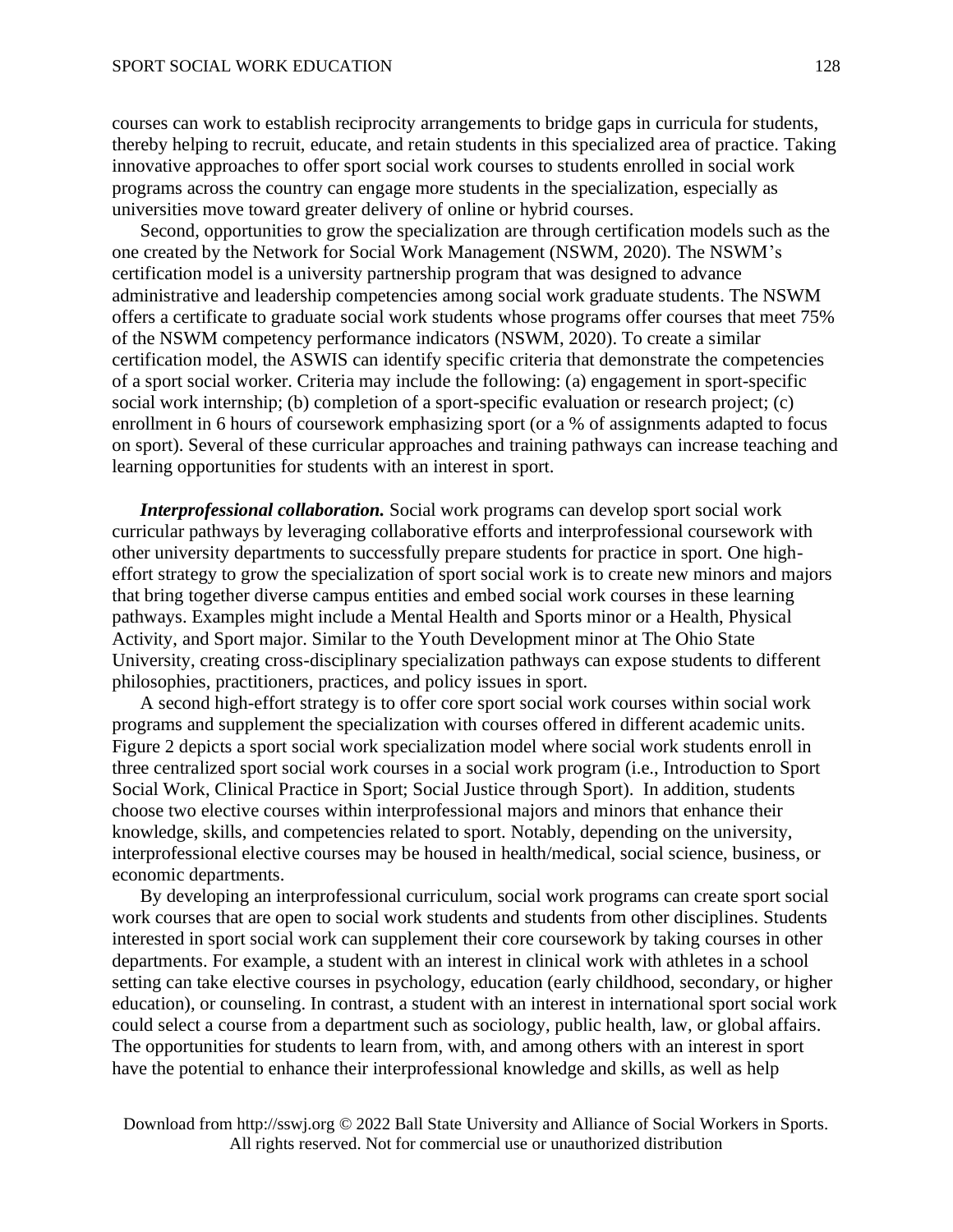courses can work to establish reciprocity arrangements to bridge gaps in curricula for students, thereby helping to recruit, educate, and retain students in this specialized area of practice. Taking innovative approaches to offer sport social work courses to students enrolled in social work programs across the country can engage more students in the specialization, especially as universities move toward greater delivery of online or hybrid courses.

Second, opportunities to grow the specialization are through certification models such as the one created by the Network for Social Work Management (NSWM, 2020). The NSWM's certification model is a university partnership program that was designed to advance administrative and leadership competencies among social work graduate students. The NSWM offers a certificate to graduate social work students whose programs offer courses that meet 75% of the NSWM competency performance indicators (NSWM, 2020). To create a similar certification model, the ASWIS can identify specific criteria that demonstrate the competencies of a sport social worker. Criteria may include the following: (a) engagement in sport-specific social work internship; (b) completion of a sport-specific evaluation or research project; (c) enrollment in 6 hours of coursework emphasizing sport (or a % of assignments adapted to focus on sport). Several of these curricular approaches and training pathways can increase teaching and learning opportunities for students with an interest in sport.

*Interprofessional collaboration.* Social work programs can develop sport social work curricular pathways by leveraging collaborative efforts and interprofessional coursework with other university departments to successfully prepare students for practice in sport. One higheffort strategy to grow the specialization of sport social work is to create new minors and majors that bring together diverse campus entities and embed social work courses in these learning pathways. Examples might include a Mental Health and Sports minor or a Health, Physical Activity, and Sport major. Similar to the Youth Development minor at The Ohio State University, creating cross-disciplinary specialization pathways can expose students to different philosophies, practitioners, practices, and policy issues in sport.

A second high-effort strategy is to offer core sport social work courses within social work programs and supplement the specialization with courses offered in different academic units. Figure 2 depicts a sport social work specialization model where social work students enroll in three centralized sport social work courses in a social work program (i.e., Introduction to Sport Social Work, Clinical Practice in Sport; Social Justice through Sport). In addition, students choose two elective courses within interprofessional majors and minors that enhance their knowledge, skills, and competencies related to sport. Notably, depending on the university, interprofessional elective courses may be housed in health/medical, social science, business, or economic departments.

By developing an interprofessional curriculum, social work programs can create sport social work courses that are open to social work students and students from other disciplines. Students interested in sport social work can supplement their core coursework by taking courses in other departments. For example, a student with an interest in clinical work with athletes in a school setting can take elective courses in psychology, education (early childhood, secondary, or higher education), or counseling. In contrast, a student with an interest in international sport social work could select a course from a department such as sociology, public health, law, or global affairs. The opportunities for students to learn from, with, and among others with an interest in sport have the potential to enhance their interprofessional knowledge and skills, as well as help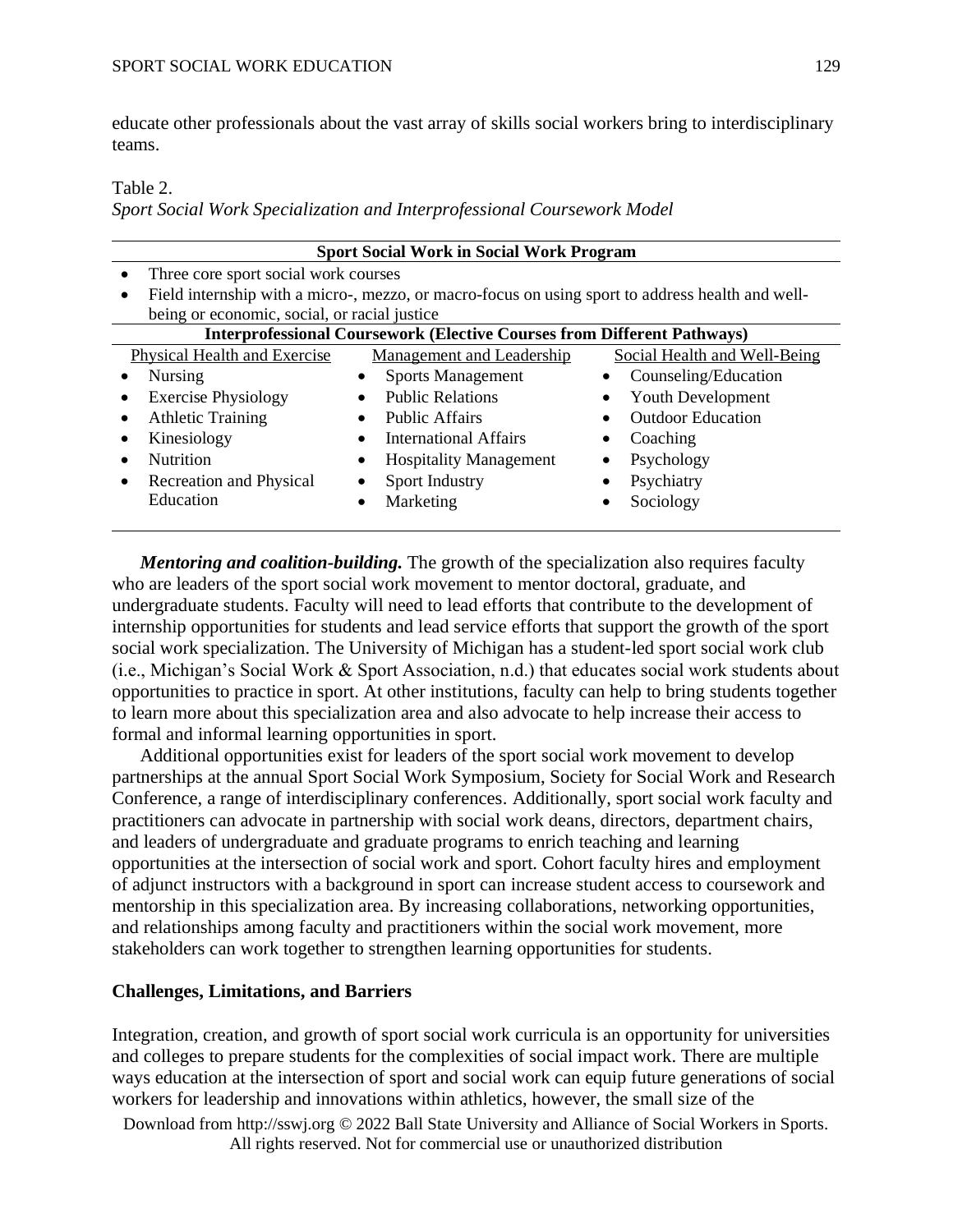educate other professionals about the vast array of skills social workers bring to interdisciplinary teams.

Table 2.

*Sport Social Work Specialization and Interprofessional Coursework Model*

| <b>Sport Social Work in Social Work Program</b>                                                  |                                      |                              |  |  |
|--------------------------------------------------------------------------------------------------|--------------------------------------|------------------------------|--|--|
| Three core sport social work courses                                                             |                                      |                              |  |  |
| Field internship with a micro-, mezzo, or macro-focus on using sport to address health and well- |                                      |                              |  |  |
| being or economic, social, or racial justice                                                     |                                      |                              |  |  |
| <b>Interprofessional Coursework (Elective Courses from Different Pathways)</b>                   |                                      |                              |  |  |
| Physical Health and Exercise                                                                     | Management and Leadership            | Social Health and Well-Being |  |  |
| <b>Nursing</b>                                                                                   | <b>Sports Management</b>             | Counseling/Education         |  |  |
| <b>Exercise Physiology</b>                                                                       | <b>Public Relations</b><br>$\bullet$ | <b>Youth Development</b>     |  |  |
| <b>Athletic Training</b>                                                                         | <b>Public Affairs</b>                | <b>Outdoor Education</b>     |  |  |
| Kinesiology                                                                                      | International Affairs<br>$\bullet$   | Coaching                     |  |  |
| Nutrition                                                                                        | <b>Hospitality Management</b><br>٠   | Psychology                   |  |  |
| Recreation and Physical                                                                          | Sport Industry                       | Psychiatry                   |  |  |
| Education                                                                                        | Marketing                            | Sociology                    |  |  |
|                                                                                                  |                                      |                              |  |  |

*Mentoring and coalition-building.* The growth of the specialization also requires faculty who are leaders of the sport social work movement to mentor doctoral, graduate, and undergraduate students. Faculty will need to lead efforts that contribute to the development of internship opportunities for students and lead service efforts that support the growth of the sport social work specialization. The University of Michigan has a student-led sport social work club (i.e., Michigan's Social Work & Sport Association, n.d.) that educates social work students about opportunities to practice in sport. At other institutions, faculty can help to bring students together to learn more about this specialization area and also advocate to help increase their access to formal and informal learning opportunities in sport.

Additional opportunities exist for leaders of the sport social work movement to develop partnerships at the annual Sport Social Work Symposium, Society for Social Work and Research Conference, a range of interdisciplinary conferences. Additionally, sport social work faculty and practitioners can advocate in partnership with social work deans, directors, department chairs, and leaders of undergraduate and graduate programs to enrich teaching and learning opportunities at the intersection of social work and sport. Cohort faculty hires and employment of adjunct instructors with a background in sport can increase student access to coursework and mentorship in this specialization area. By increasing collaborations, networking opportunities, and relationships among faculty and practitioners within the social work movement, more stakeholders can work together to strengthen learning opportunities for students.

# **Challenges, Limitations, and Barriers**

Integration, creation, and growth of sport social work curricula is an opportunity for universities and colleges to prepare students for the complexities of social impact work. There are multiple ways education at the intersection of sport and social work can equip future generations of social workers for leadership and innovations within athletics, however, the small size of the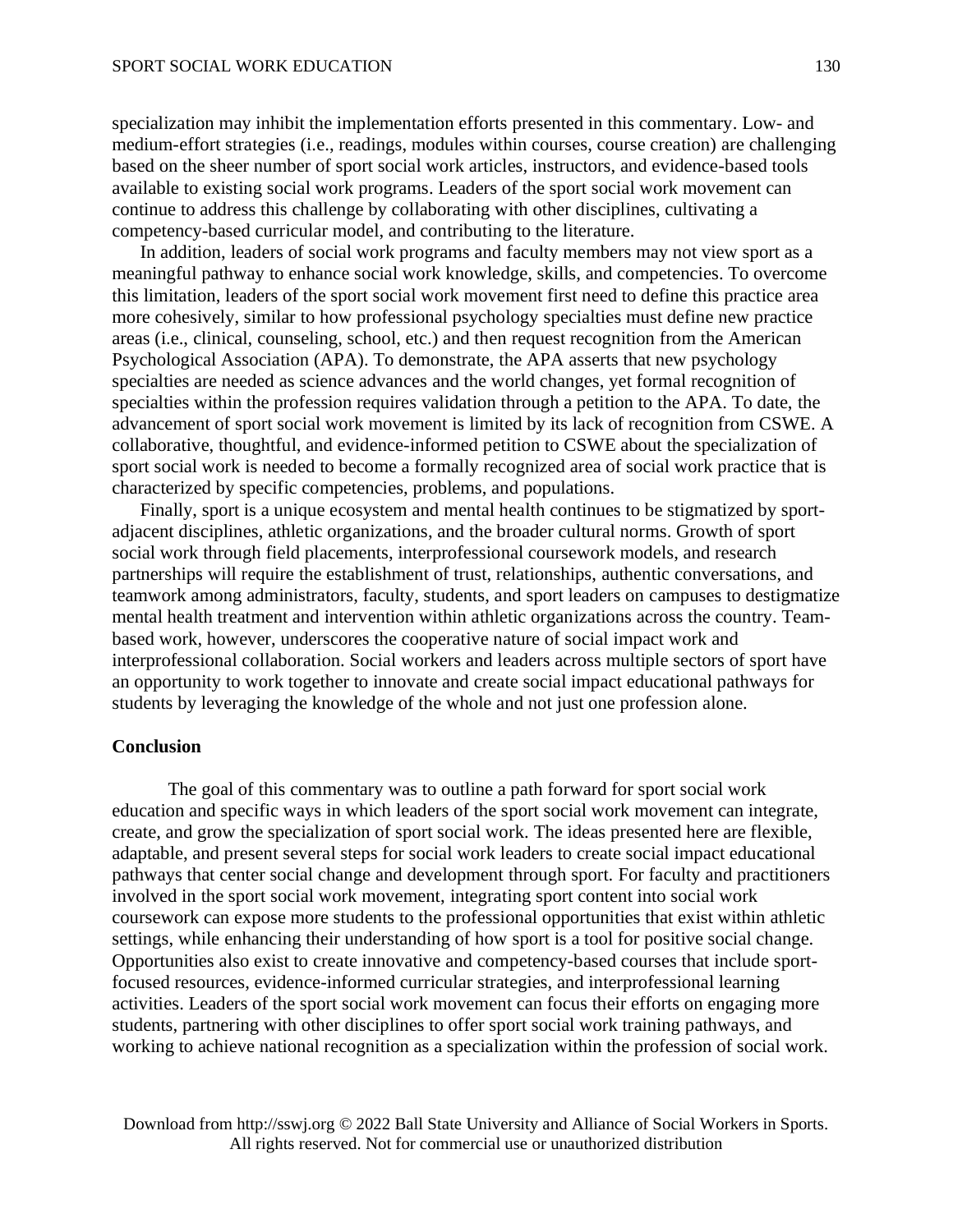specialization may inhibit the implementation efforts presented in this commentary. Low- and medium-effort strategies (i.e., readings, modules within courses, course creation) are challenging based on the sheer number of sport social work articles, instructors, and evidence-based tools available to existing social work programs. Leaders of the sport social work movement can continue to address this challenge by collaborating with other disciplines, cultivating a competency-based curricular model, and contributing to the literature.

In addition, leaders of social work programs and faculty members may not view sport as a meaningful pathway to enhance social work knowledge, skills, and competencies. To overcome this limitation, leaders of the sport social work movement first need to define this practice area more cohesively, similar to how professional psychology specialties must define new practice areas (i.e., clinical, counseling, school, etc.) and then request recognition from the American Psychological Association (APA). To demonstrate, the APA asserts that new psychology specialties are needed as science advances and the world changes, yet formal recognition of specialties within the profession requires validation through a petition to the APA. To date, the advancement of sport social work movement is limited by its lack of recognition from CSWE. A collaborative, thoughtful, and evidence-informed petition to CSWE about the specialization of sport social work is needed to become a formally recognized area of social work practice that is characterized by specific competencies, problems, and populations.

Finally, sport is a unique ecosystem and mental health continues to be stigmatized by sportadjacent disciplines, athletic organizations, and the broader cultural norms. Growth of sport social work through field placements, interprofessional coursework models, and research partnerships will require the establishment of trust, relationships, authentic conversations, and teamwork among administrators, faculty, students, and sport leaders on campuses to destigmatize mental health treatment and intervention within athletic organizations across the country. Teambased work, however, underscores the cooperative nature of social impact work and interprofessional collaboration. Social workers and leaders across multiple sectors of sport have an opportunity to work together to innovate and create social impact educational pathways for students by leveraging the knowledge of the whole and not just one profession alone.

## **Conclusion**

The goal of this commentary was to outline a path forward for sport social work education and specific ways in which leaders of the sport social work movement can integrate, create, and grow the specialization of sport social work. The ideas presented here are flexible, adaptable, and present several steps for social work leaders to create social impact educational pathways that center social change and development through sport. For faculty and practitioners involved in the sport social work movement, integrating sport content into social work coursework can expose more students to the professional opportunities that exist within athletic settings, while enhancing their understanding of how sport is a tool for positive social change. Opportunities also exist to create innovative and competency-based courses that include sportfocused resources, evidence-informed curricular strategies, and interprofessional learning activities. Leaders of the sport social work movement can focus their efforts on engaging more students, partnering with other disciplines to offer sport social work training pathways, and working to achieve national recognition as a specialization within the profession of social work.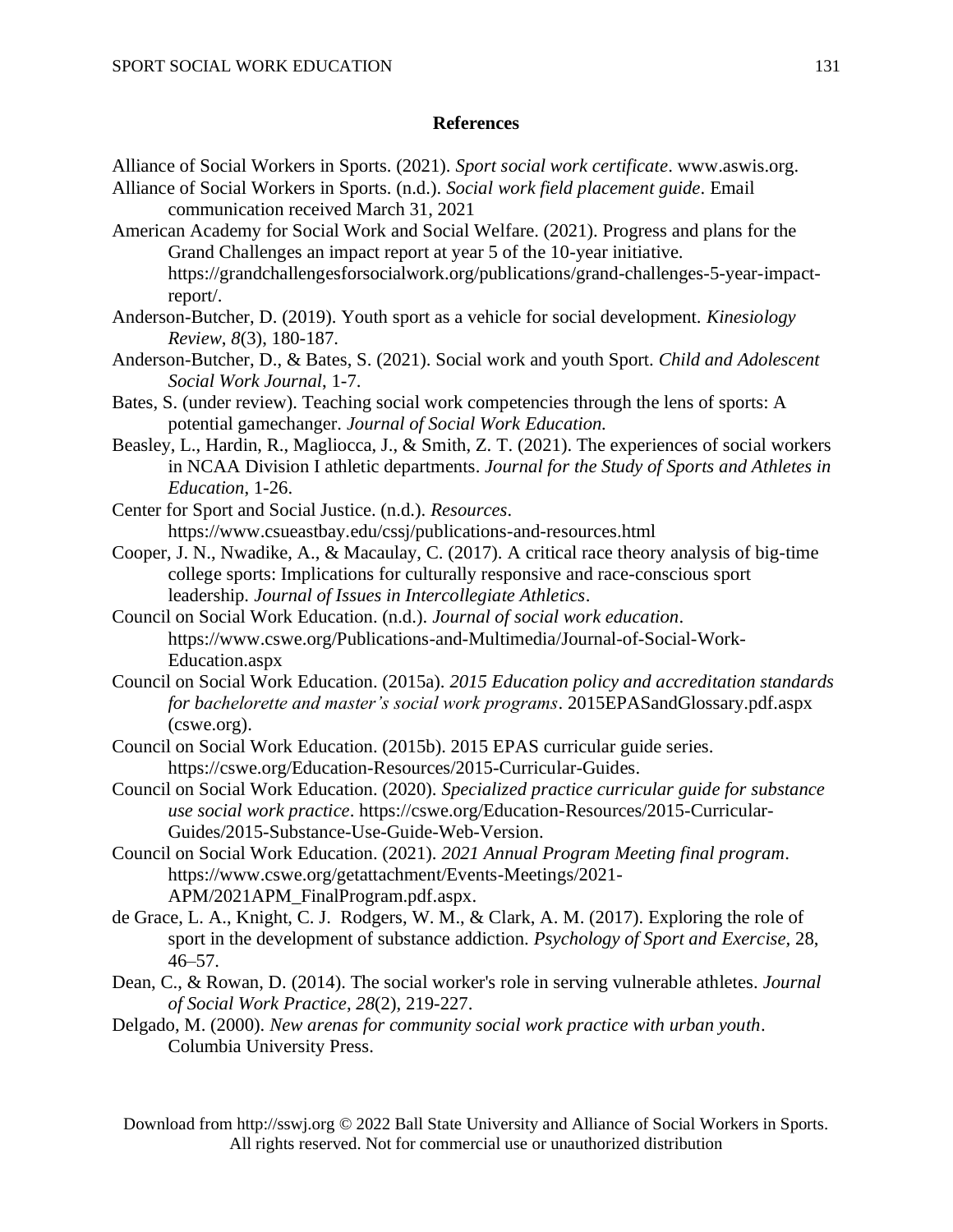# **References**

- Alliance of Social Workers in Sports. (2021). *Sport social work certificate*. www.aswis.org. Alliance of Social Workers in Sports. (n.d.). *Social work field placement guide*. Email communication received March 31, 2021
- American Academy for Social Work and Social Welfare. (2021). Progress and plans for the Grand Challenges an impact report at year 5 of the 10-year initiative. https://grandchallengesforsocialwork.org/publications/grand-challenges-5-year-impactreport/.
- Anderson-Butcher, D. (2019). Youth sport as a vehicle for social development. *Kinesiology Review*, *8*(3), 180-187.
- Anderson-Butcher, D., & Bates, S. (2021). Social work and youth Sport. *Child and Adolescent Social Work Journal*, 1-7.
- Bates, S. (under review). Teaching social work competencies through the lens of sports: A potential gamechanger. *Journal of Social Work Education.*
- Beasley, L., Hardin, R., Magliocca, J., & Smith, Z. T. (2021). The experiences of social workers in NCAA Division I athletic departments. *Journal for the Study of Sports and Athletes in Education*, 1-26.
- Center for Sport and Social Justice. (n.d.). *Resources.* https://www.csueastbay.edu/cssj/publications-and-resources.html
- Cooper, J. N., Nwadike, A., & Macaulay, C. (2017). A critical race theory analysis of big-time college sports: Implications for culturally responsive and race-conscious sport leadership. *Journal of Issues in Intercollegiate Athletics*.
- Council on Social Work Education. (n.d.). *Journal of social work education*. https://www.cswe.org/Publications-and-Multimedia/Journal-of-Social-Work-Education.aspx
- Council on Social Work Education. (2015a). *2015 Education policy and accreditation standards for bachelorette and master's social work programs*. 2015EPASandGlossary.pdf.aspx (cswe.org).
- Council on Social Work Education. (2015b). 2015 EPAS curricular guide series. https://cswe.org/Education-Resources/2015-Curricular-Guides.
- Council on Social Work Education. (2020). *Specialized practice curricular guide for substance use social work practice*. https://cswe.org/Education-Resources/2015-Curricular-Guides/2015-Substance-Use-Guide-Web-Version.
- Council on Social Work Education. (2021). *2021 Annual Program Meeting final program*. https://www.cswe.org/getattachment/Events-Meetings/2021- APM/2021APM\_FinalProgram.pdf.aspx.
- de Grace, L. A., Knight, C. J. Rodgers, W. M., & Clark, A. M. (2017). Exploring the role of sport in the development of substance addiction. *Psychology of Sport and Exercise,* 28,  $46 - 57$ .
- Dean, C., & Rowan, D. (2014). The social worker's role in serving vulnerable athletes. *Journal of Social Work Practice*, *28*(2), 219-227.
- Delgado, M. (2000). *New arenas for community social work practice with urban youth*. Columbia University Press.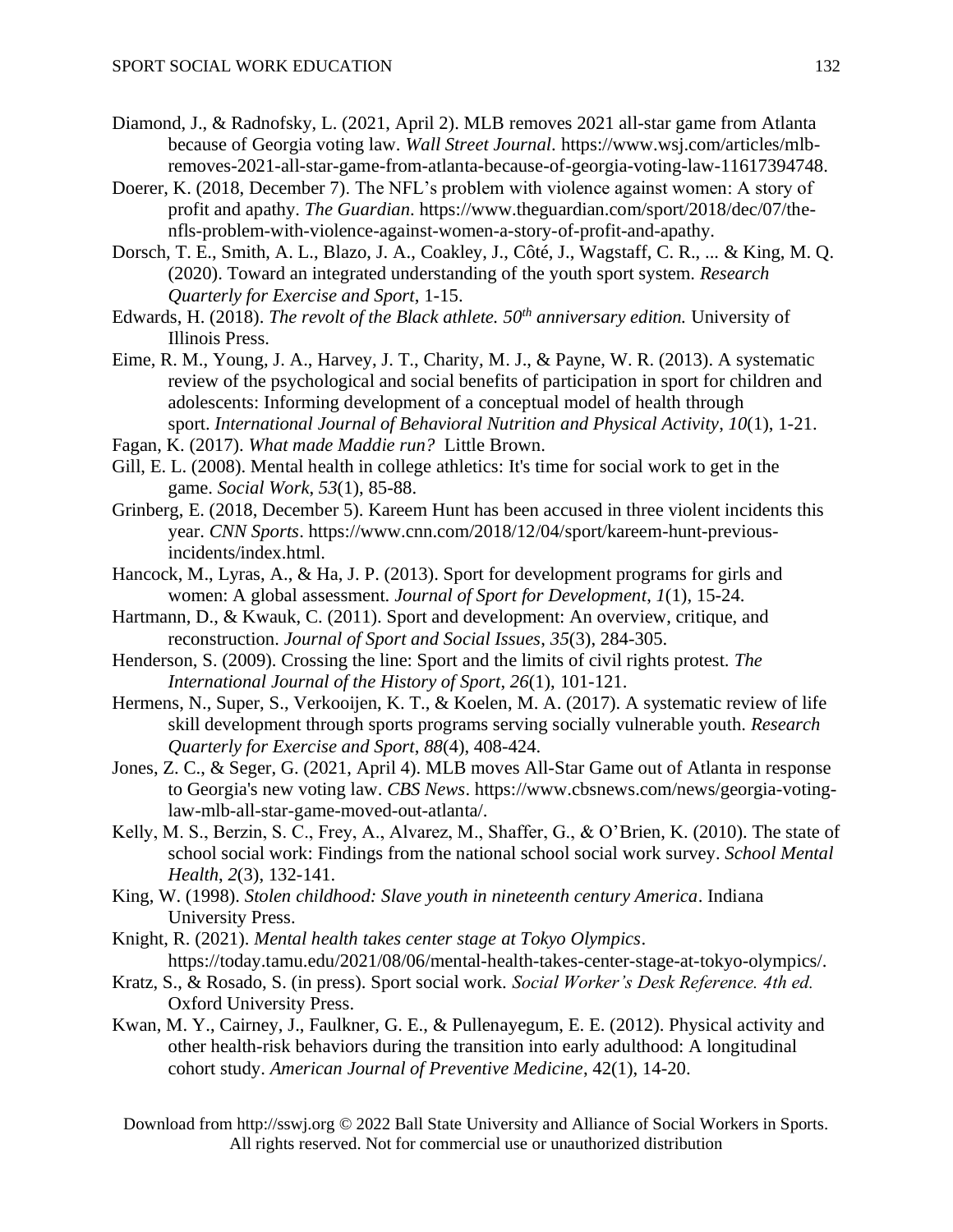- Diamond, J., & Radnofsky, L. (2021, April 2). MLB removes 2021 all-star game from Atlanta because of Georgia voting law. *Wall Street Journal*. https://www.wsj.com/articles/mlbremoves-2021-all-star-game-from-atlanta-because-of-georgia-voting-law-11617394748.
- Doerer, K. (2018, December 7). The NFL's problem with violence against women: A story of profit and apathy. *The Guardian*. https://www.theguardian.com/sport/2018/dec/07/thenfls-problem-with-violence-against-women-a-story-of-profit-and-apathy.
- Dorsch, T. E., Smith, A. L., Blazo, J. A., Coakley, J., Côté, J., Wagstaff, C. R., ... & King, M. Q. (2020). Toward an integrated understanding of the youth sport system. *Research Quarterly for Exercise and Sport*, 1-15.
- Edwards, H. (2018). *The revolt of the Black athlete. 50th anniversary edition.* University of Illinois Press.
- Eime, R. M., Young, J. A., Harvey, J. T., Charity, M. J., & Payne, W. R. (2013). A systematic review of the psychological and social benefits of participation in sport for children and adolescents: Informing development of a conceptual model of health through sport. *International Journal of Behavioral Nutrition and Physical Activity*, *10*(1), 1-21.
- Fagan, K. (2017). *What made Maddie run?* Little Brown.
- Gill, E. L. (2008). Mental health in college athletics: It's time for social work to get in the game. *Social Work*, *53*(1), 85-88.
- Grinberg, E. (2018, December 5). Kareem Hunt has been accused in three violent incidents this year. *CNN Sports*. https://www.cnn.com/2018/12/04/sport/kareem-hunt-previousincidents/index.html.
- Hancock, M., Lyras, A., & Ha, J. P. (2013). Sport for development programs for girls and women: A global assessment. *Journal of Sport for Development*, *1*(1), 15-24.
- Hartmann, D., & Kwauk, C. (2011). Sport and development: An overview, critique, and reconstruction. *Journal of Sport and Social Issues*, *35*(3), 284-305.
- Henderson, S. (2009). Crossing the line: Sport and the limits of civil rights protest. *The International Journal of the History of Sport*, *26*(1), 101-121.
- Hermens, N., Super, S., Verkooijen, K. T., & Koelen, M. A. (2017). A systematic review of life skill development through sports programs serving socially vulnerable youth. *Research Quarterly for Exercise and Sport*, *88*(4), 408-424.
- Jones, Z. C., & Seger, G. (2021, April 4). MLB moves All-Star Game out of Atlanta in response to Georgia's new voting law. *CBS News*. https://www.cbsnews.com/news/georgia-votinglaw-mlb-all-star-game-moved-out-atlanta/.
- Kelly, M. S., Berzin, S. C., Frey, A., Alvarez, M., Shaffer, G., & O'Brien, K. (2010). The state of school social work: Findings from the national school social work survey. *School Mental Health*, *2*(3), 132-141.
- King, W. (1998). *Stolen childhood: Slave youth in nineteenth century America*. Indiana University Press.
- Knight, R. (2021). *Mental health takes center stage at Tokyo Olympics*. https://today.tamu.edu/2021/08/06/mental-health-takes-center-stage-at-tokyo-olympics/.
- Kratz, S., & Rosado, S. (in press). Sport social work. *Social Worker's Desk Reference. 4th ed.* Oxford University Press.
- Kwan, M. Y., Cairney, J., Faulkner, G. E., & Pullenayegum, E. E. (2012). Physical activity and other health-risk behaviors during the transition into early adulthood: A longitudinal cohort study. *American Journal of Preventive Medicine*, 42(1), 14-20.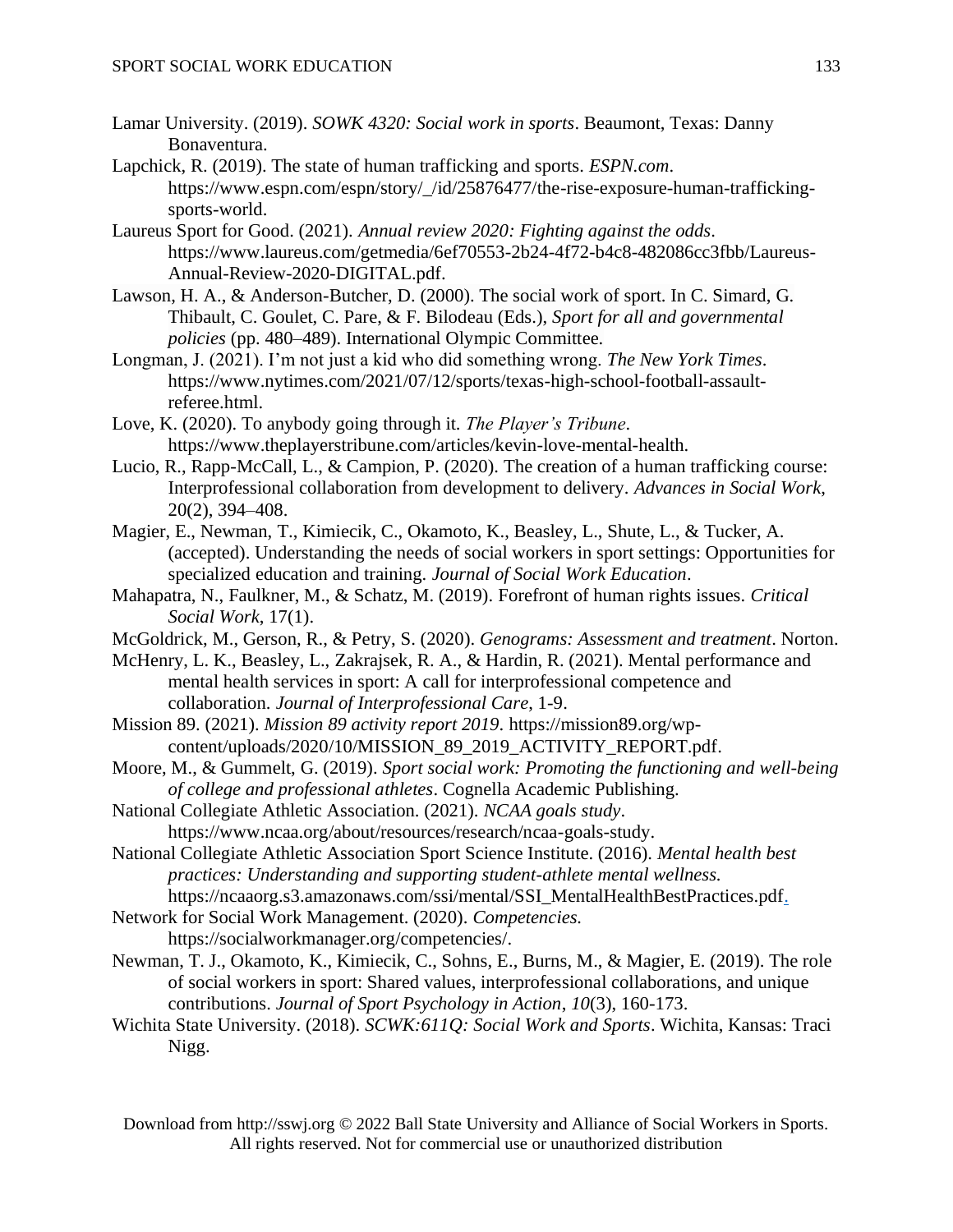- Lamar University. (2019). *SOWK 4320: Social work in sports*. Beaumont, Texas: Danny Bonaventura.
- Lapchick, R. (2019). The state of human trafficking and sports. *ESPN.com*. https://www.espn.com/espn/story/\_/id/25876477/the-rise-exposure-human-traffickingsports-world.
- Laureus Sport for Good. (2021). *Annual review 2020: Fighting against the odds*. https://www.laureus.com/getmedia/6ef70553-2b24-4f72-b4c8-482086cc3fbb/Laureus-Annual-Review-2020-DIGITAL.pdf.
- Lawson, H. A., & Anderson-Butcher, D. (2000). The social work of sport. In C. Simard, G. Thibault, C. Goulet, C. Pare, & F. Bilodeau (Eds.), *Sport for all and governmental policies* (pp. 480–489). International Olympic Committee.
- Longman, J. (2021). I'm not just a kid who did something wrong. *The New York Times*. https://www.nytimes.com/2021/07/12/sports/texas-high-school-football-assaultreferee.html.
- Love, K. (2020). To anybody going through it. *The Player's Tribune*. https://www.theplayerstribune.com/articles/kevin-love-mental-health.
- Lucio, R., Rapp-McCall, L., & Campion, P. (2020). The creation of a human trafficking course: Interprofessional collaboration from development to delivery. *Advances in Social Work*, 20(2), 394–408.
- Magier, E., Newman, T., Kimiecik, C., Okamoto, K., Beasley, L., Shute, L., & Tucker, A. (accepted). Understanding the needs of social workers in sport settings: Opportunities for specialized education and training. *Journal of Social Work Education*.
- Mahapatra, N., Faulkner, M., & Schatz, M. (2019). Forefront of human rights issues. *Critical Social Work*, 17(1).
- McGoldrick, M., Gerson, R., & Petry, S. (2020). *Genograms: Assessment and treatment*. Norton.
- McHenry, L. K., Beasley, L., Zakrajsek, R. A., & Hardin, R. (2021). Mental performance and mental health services in sport: A call for interprofessional competence and collaboration. *Journal of Interprofessional Care*, 1-9.
- Mission 89. (2021). *Mission 89 activity report 2019*. https://mission89.org/wpcontent/uploads/2020/10/MISSION 89 2019 ACTIVITY REPORT.pdf.
- Moore, M., & Gummelt, G. (2019). *Sport social work: Promoting the functioning and well-being of college and professional athletes*. Cognella Academic Publishing.
- National Collegiate Athletic Association. (2021). *NCAA goals study*. https://www.ncaa.org/about/resources/research/ncaa-goals-study.
- National Collegiate Athletic Association Sport Science Institute. (2016). *Mental health best practices: Understanding and supporting student-athlete mental wellness.* https://ncaaorg.s3.amazonaws.com/ssi/mental/SSI\_MentalHealthBestPractices.pdf.
- Network for Social Work Management. (2020). *Competencies.*
	- https://socialworkmanager.org/competencies/.
- Newman, T. J., Okamoto, K., Kimiecik, C., Sohns, E., Burns, M., & Magier, E. (2019). The role of social workers in sport: Shared values, interprofessional collaborations, and unique contributions. *Journal of Sport Psychology in Action*, *10*(3), 160-173.
- Wichita State University. (2018). *SCWK:611Q: Social Work and Sports*. Wichita, Kansas: Traci Nigg.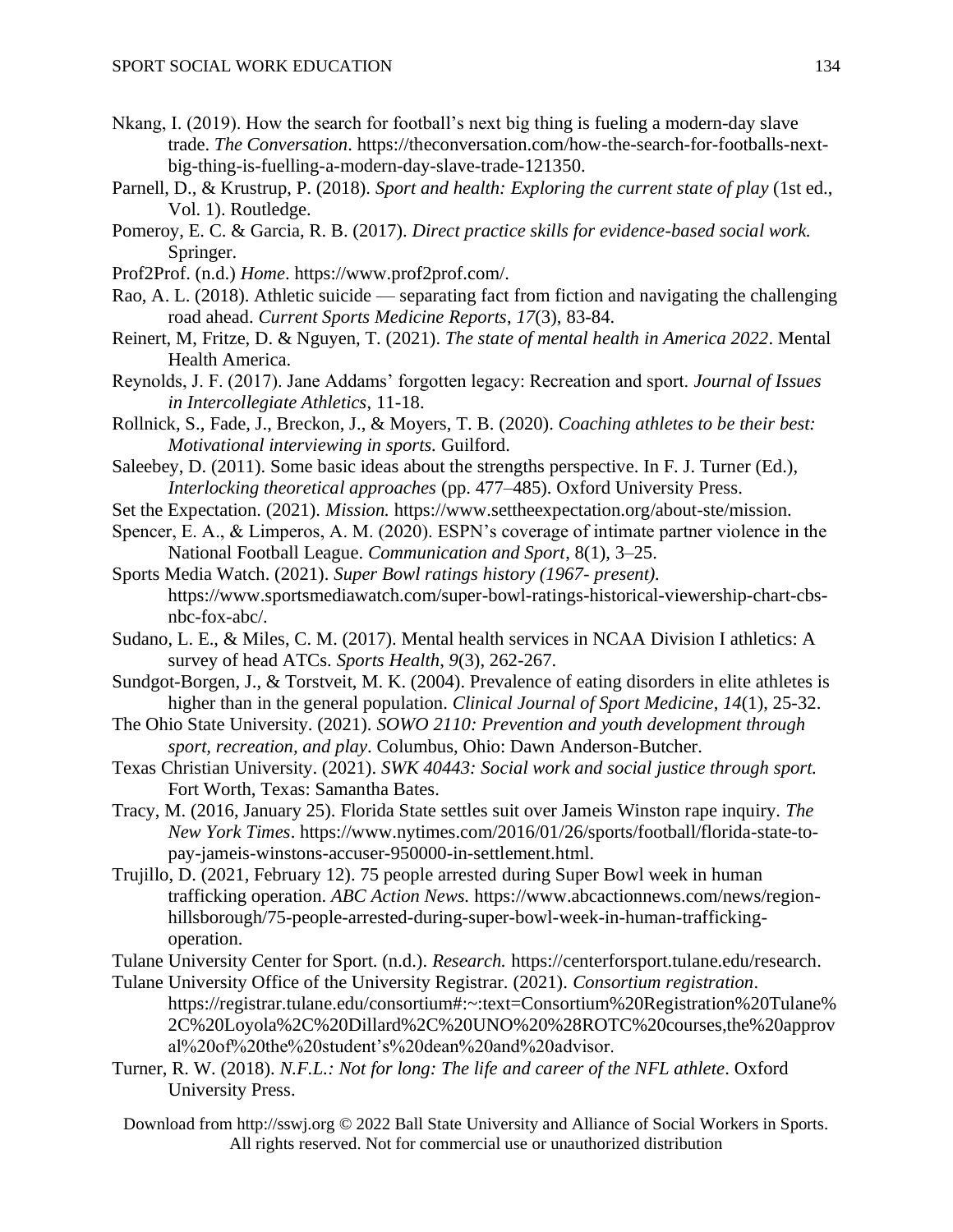- Nkang, I. (2019). How the search for football's next big thing is fueling a modern-day slave trade. *The Conversation*. https://theconversation.com/how-the-search-for-footballs-nextbig-thing-is-fuelling-a-modern-day-slave-trade-121350.
- Parnell, D., & Krustrup, P. (2018). *Sport and health: Exploring the current state of play* (1st ed., Vol. 1). Routledge.
- Pomeroy, E. C. & Garcia, R. B. (2017). *Direct practice skills for evidence-based social work.* Springer.
- Prof2Prof. (n.d.) *Home*. https://www.prof2prof.com/.
- Rao, A. L. (2018). Athletic suicide separating fact from fiction and navigating the challenging road ahead. *Current Sports Medicine Reports*, *17*(3), 83-84.
- Reinert, M, Fritze, D. & Nguyen, T. (2021). *The state of mental health in America 2022*. Mental Health America.
- Reynolds, J. F. (2017). Jane Addams' forgotten legacy: Recreation and sport. *Journal of Issues in Intercollegiate Athletics*, 11-18.
- Rollnick, S., Fade, J., Breckon, J., & Moyers, T. B. (2020). *Coaching athletes to be their best: Motivational interviewing in sports.* Guilford.
- Saleebey, D. (2011). Some basic ideas about the strengths perspective. In F. J. Turner (Ed.), *Interlocking theoretical approaches* (pp. 477–485). Oxford University Press.
- Set the Expectation. (2021). *Mission.* https://www.settheexpectation.org/about-ste/mission.
- Spencer, E. A., & Limperos, A. M. (2020). ESPN's coverage of intimate partner violence in the National Football League. *Communication and Sport*, 8(1), 3–25.
- Sports Media Watch. (2021). *Super Bowl ratings history (1967- present).* https://www.sportsmediawatch.com/super-bowl-ratings-historical-viewership-chart-cbsnbc-fox-abc/.
- Sudano, L. E., & Miles, C. M. (2017). Mental health services in NCAA Division I athletics: A survey of head ATCs. *Sports Health*, *9*(3), 262-267.
- Sundgot-Borgen, J., & Torstveit, M. K. (2004). Prevalence of eating disorders in elite athletes is higher than in the general population. *Clinical Journal of Sport Medicine*, *14*(1), 25-32.
- The Ohio State University. (2021). *SOWO 2110: Prevention and youth development through sport, recreation, and play*. Columbus, Ohio: Dawn Anderson-Butcher.
- Texas Christian University. (2021). *SWK 40443: Social work and social justice through sport.* Fort Worth, Texas: Samantha Bates.
- Tracy, M. (2016, January 25). Florida State settles suit over Jameis Winston rape inquiry. *The New York Times*. https://www.nytimes.com/2016/01/26/sports/football/florida-state-topay-jameis-winstons-accuser-950000-in-settlement.html.
- Trujillo, D. (2021, February 12). 75 people arrested during Super Bowl week in human trafficking operation. *ABC Action News.* https://www.abcactionnews.com/news/regionhillsborough/75-people-arrested-during-super-bowl-week-in-human-traffickingoperation.
- Tulane University Center for Sport. (n.d.). *Research.* https://centerforsport.tulane.edu/research.
- Tulane University Office of the University Registrar. (2021). *Consortium registration*. https://registrar.tulane.edu/consortium#:~:text=Consortium%20Registration%20Tulane% 2C%20Loyola%2C%20Dillard%2C%20UNO%20%28ROTC%20courses,the%20approv al%20of%20the%20student's%20dean%20and%20advisor.
- Turner, R. W. (2018). *N.F.L.: Not for long: The life and career of the NFL athlete*. Oxford University Press.
	- Download from http://sswj.org © 2022 Ball State University and Alliance of Social Workers in Sports. All rights reserved. Not for commercial use or unauthorized distribution